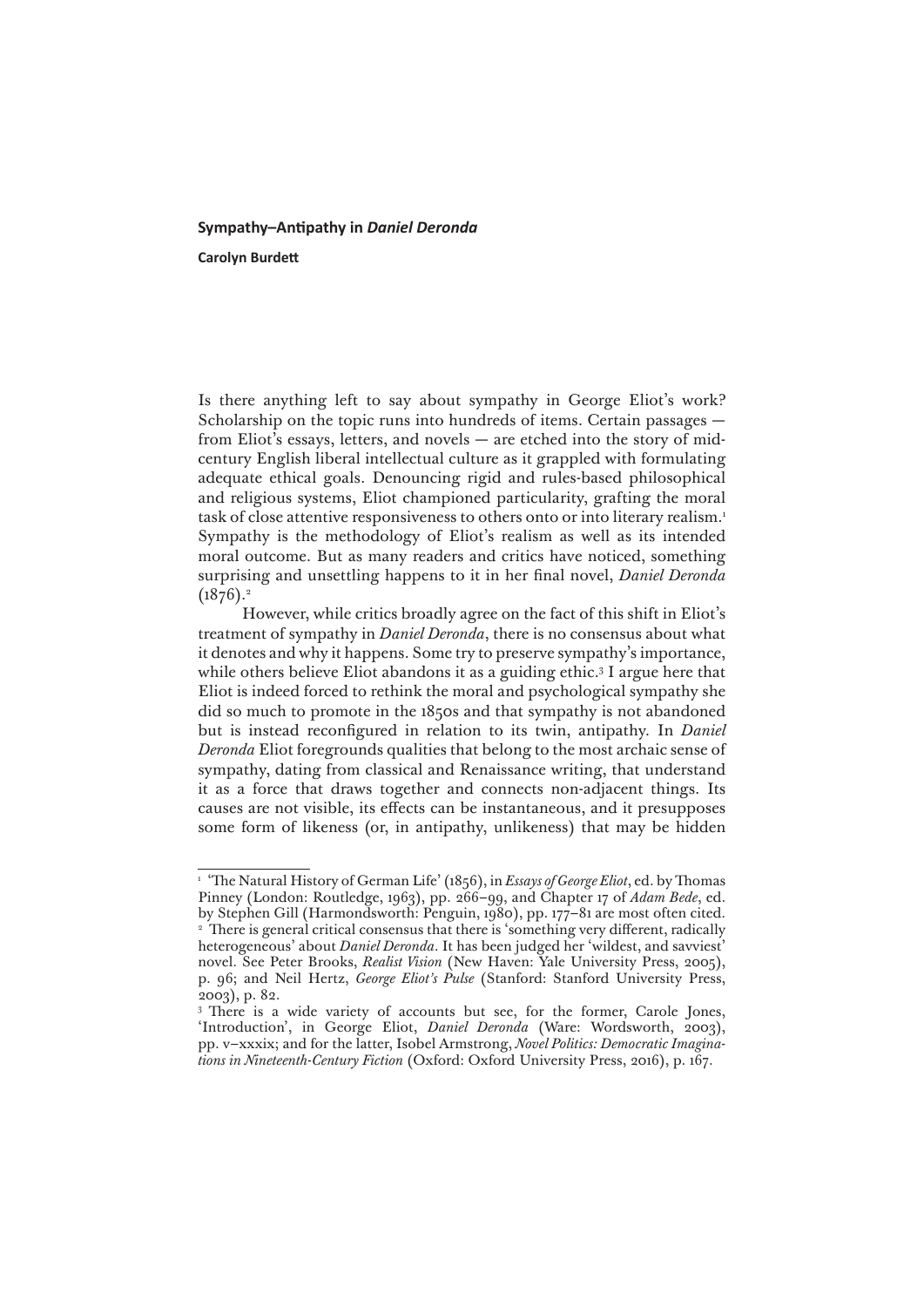## **Sympathy–Antipathy in** *Daniel Deronda*

**Carolyn Burdett**

Is there anything left to say about sympathy in George Eliot's work? Scholarship on the topic runs into hundreds of items. Certain passages from Eliot's essays, letters, and novels — are etched into the story of midcentury English liberal intellectual culture as it grappled with formulating adequate ethical goals. Denouncing rigid and rules-based philosophical and religious systems, Eliot championed particularity, grafting the moral task of close attentive responsiveness to others onto or into literary realism.<sup>1</sup> Sympathy is the methodology of Eliot's realism as well as its intended moral outcome. But as many readers and critics have noticed, something surprising and unsettling happens to it in her final novel, *Daniel Deronda*  $(1876).<sup>2</sup>$ 

However, while critics broadly agree on the fact of this shift in Eliot's treatment of sympathy in *Daniel Deronda*, there is no consensus about what it denotes and why it happens. Some try to preserve sympathy's importance, while others believe Eliot abandons it as a guiding ethic.3 I argue here that Eliot is indeed forced to rethink the moral and psychological sympathy she did so much to promote in the 1850s and that sympathy is not abandoned but is instead reconfigured in relation to its twin, antipathy. In *Daniel Deronda* Eliot foregrounds qualities that belong to the most archaic sense of sympathy, dating from classical and Renaissance writing, that understand it as a force that draws together and connects non-adjacent things. Its causes are not visible, its effects can be instantaneous, and it presupposes some form of likeness (or, in antipathy, unlikeness) that may be hidden

<sup>&</sup>lt;sup>1</sup> 'The Natural History of German Life' (1856), in *Essays of George Eliot*, ed. by Thomas Pinney (London: Routledge, 1963), pp. 266–99, and Chapter 17 of *Adam Bede*, ed. by Stephen Gill (Harmondsworth: Penguin, 1980), pp. 177–81 are most often cited. <sup>2</sup> There is general critical consensus that there is 'something very different, radically heterogeneous' about *Daniel Deronda*. It has been judged her 'wildest, and savviest' novel. See Peter Brooks, *Realist Vision* (New Haven: Yale University Press, 2005), p. 96; and Neil Hertz, *George Eliot's Pulse* (Stanford: Stanford University Press, 2003), p. 82.

<sup>&</sup>lt;sup>3</sup> There is a wide variety of accounts but see, for the former, Carole Jones, 'Introduction', in George Eliot, *Daniel Deronda* (Ware: Wordsworth, 2003), pp. v–xxxix; and for the latter, Isobel Armstrong, *Novel Politics: Democratic Imaginations in Nineteenth-Century Fiction* (Oxford: Oxford University Press, 2016), p. 167.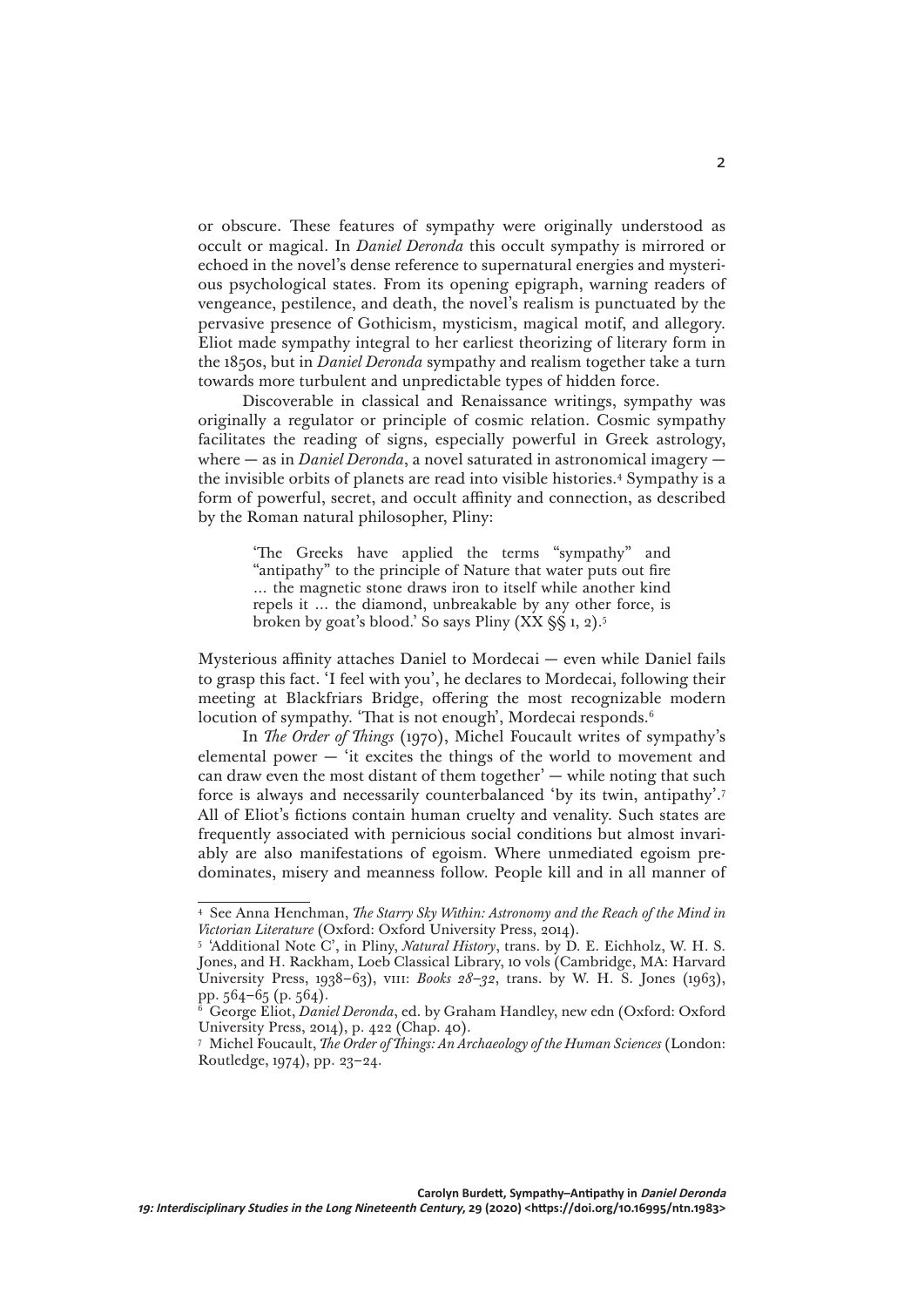or obscure. These features of sympathy were originally understood as occult or magical. In *Daniel Deronda* this occult sympathy is mirrored or echoed in the novel's dense reference to supernatural energies and mysterious psychological states. From its opening epigraph, warning readers of vengeance, pestilence, and death, the novel's realism is punctuated by the pervasive presence of Gothicism, mysticism, magical motif, and allegory. Eliot made sympathy integral to her earliest theorizing of literary form in the 1850s, but in *Daniel Deronda* sympathy and realism together take a turn towards more turbulent and unpredictable types of hidden force.

Discoverable in classical and Renaissance writings, sympathy was originally a regulator or principle of cosmic relation. Cosmic sympathy facilitates the reading of signs, especially powerful in Greek astrology, where — as in *Daniel Deronda*, a novel saturated in astronomical imagery the invisible orbits of planets are read into visible histories.4 Sympathy is a form of powerful, secret, and occult affinity and connection, as described by the Roman natural philosopher, Pliny:

> 'The Greeks have applied the terms "sympathy" and "antipathy" to the principle of Nature that water puts out fire … the magnetic stone draws iron to itself while another kind repels it … the diamond, unbreakable by any other force, is broken by goat's blood.' So says Pliny  $(XX \& 1, 2)$ .<sup>5</sup>

Mysterious affinity attaches Daniel to Mordecai — even while Daniel fails to grasp this fact. 'I feel with you', he declares to Mordecai, following their meeting at Blackfriars Bridge, offering the most recognizable modern locution of sympathy. 'That is not enough', Mordecai responds.<sup>6</sup>

In *The Order of Things* (1970), Michel Foucault writes of sympathy's elemental power — 'it excites the things of the world to movement and can draw even the most distant of them together' — while noting that such force is always and necessarily counterbalanced 'by its twin, antipathy'.7 All of Eliot's fictions contain human cruelty and venality. Such states are frequently associated with pernicious social conditions but almost invariably are also manifestations of egoism. Where unmediated egoism predominates, misery and meanness follow. People kill and in all manner of

<sup>4</sup> See Anna Henchman, *The Starry Sky Within: Astronomy and the Reach of the Mind in Victorian Literature* (Oxford: Oxford University Press, 2014).

<sup>5</sup> 'Additional Note C', in Pliny, *Natural History*, trans. by D. E. Eichholz, W. H. S. Jones, and H. Rackham, Loeb Classical Library, 10 vols (Cambridge, MA: Harvard University Press, 1938–63), viii: *Books 28–32*, trans. by W. H. S. Jones (1963), pp. 564–65 (p. 564).

<sup>6</sup> George Eliot, *Daniel Deronda*, ed. by Graham Handley, new edn (Oxford: Oxford University Press, 2014), p. 422 (Chap. 40).

<sup>7</sup> Michel Foucault, *The Order of Things: An Archaeology of the Human Sciences* (London: Routledge, 1974), pp. 23–24.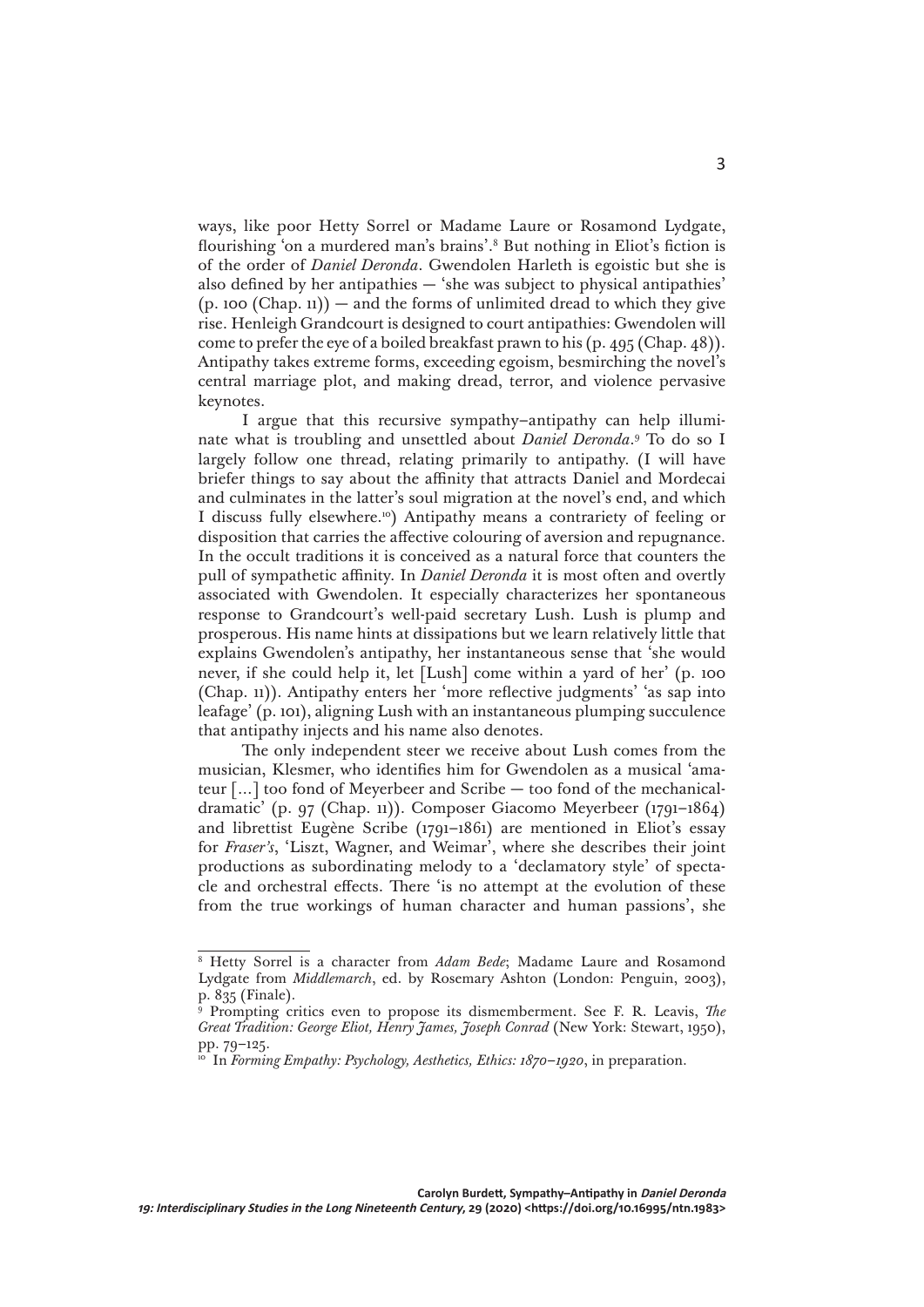ways, like poor Hetty Sorrel or Madame Laure or Rosamond Lydgate, flourishing 'on a murdered man's brains'.8 But nothing in Eliot's fiction is of the order of *Daniel Deronda*. Gwendolen Harleth is egoistic but she is also defined by her antipathies — 'she was subject to physical antipathies'  $(p. 100 (Chap. 11))$  – and the forms of unlimited dread to which they give rise. Henleigh Grandcourt is designed to court antipathies: Gwendolen will come to prefer the eye of a boiled breakfast prawn to his (p. 495 (Chap. 48)). Antipathy takes extreme forms, exceeding egoism, besmirching the novel's central marriage plot, and making dread, terror, and violence pervasive keynotes.

I argue that this recursive sympathy–antipathy can help illuminate what is troubling and unsettled about *Daniel Deronda*. 9 To do so I largely follow one thread, relating primarily to antipathy. (I will have briefer things to say about the affinity that attracts Daniel and Mordecai and culminates in the latter's soul migration at the novel's end, and which I discuss fully elsewhere.10) Antipathy means a contrariety of feeling or disposition that carries the affective colouring of aversion and repugnance. In the occult traditions it is conceived as a natural force that counters the pull of sympathetic affinity. In *Daniel Deronda* it is most often and overtly associated with Gwendolen. It especially characterizes her spontaneous response to Grandcourt's well-paid secretary Lush. Lush is plump and prosperous. His name hints at dissipations but we learn relatively little that explains Gwendolen's antipathy, her instantaneous sense that 'she would never, if she could help it, let [Lush] come within a yard of her' (p. 100 (Chap. 11)). Antipathy enters her 'more reflective judgments' 'as sap into leafage' (p. 101), aligning Lush with an instantaneous plumping succulence that antipathy injects and his name also denotes.

The only independent steer we receive about Lush comes from the musician, Klesmer, who identifies him for Gwendolen as a musical 'amateur […] too fond of Meyerbeer and Scribe — too fond of the mechanicaldramatic' (p. 97 (Chap. 11)). Composer Giacomo Meyerbeer (1791–1864) and librettist Eugène Scribe (1791–1861) are mentioned in Eliot's essay for *Fraser's*, 'Liszt, Wagner, and Weimar', where she describes their joint productions as subordinating melody to a 'declamatory style' of spectacle and orchestral effects. There 'is no attempt at the evolution of these from the true workings of human character and human passions', she

<sup>8</sup> Hetty Sorrel is a character from *Adam Bede*; Madame Laure and Rosamond Lydgate from *Middlemarch*, ed. by Rosemary Ashton (London: Penguin, 2003), p. 835 (Finale).

<sup>&</sup>lt;sup>9</sup> Prompting critics even to propose its dismemberment. See F. R. Leavis, *The Great Tradition: George Eliot, Henry James, Joseph Conrad* (New York: Stewart, 1950), pp. 79–125.

<sup>&</sup>lt;sup>10</sup> In *Forming Empathy: Psychology, Aesthetics, Ethics: 1870–1920*, in preparation.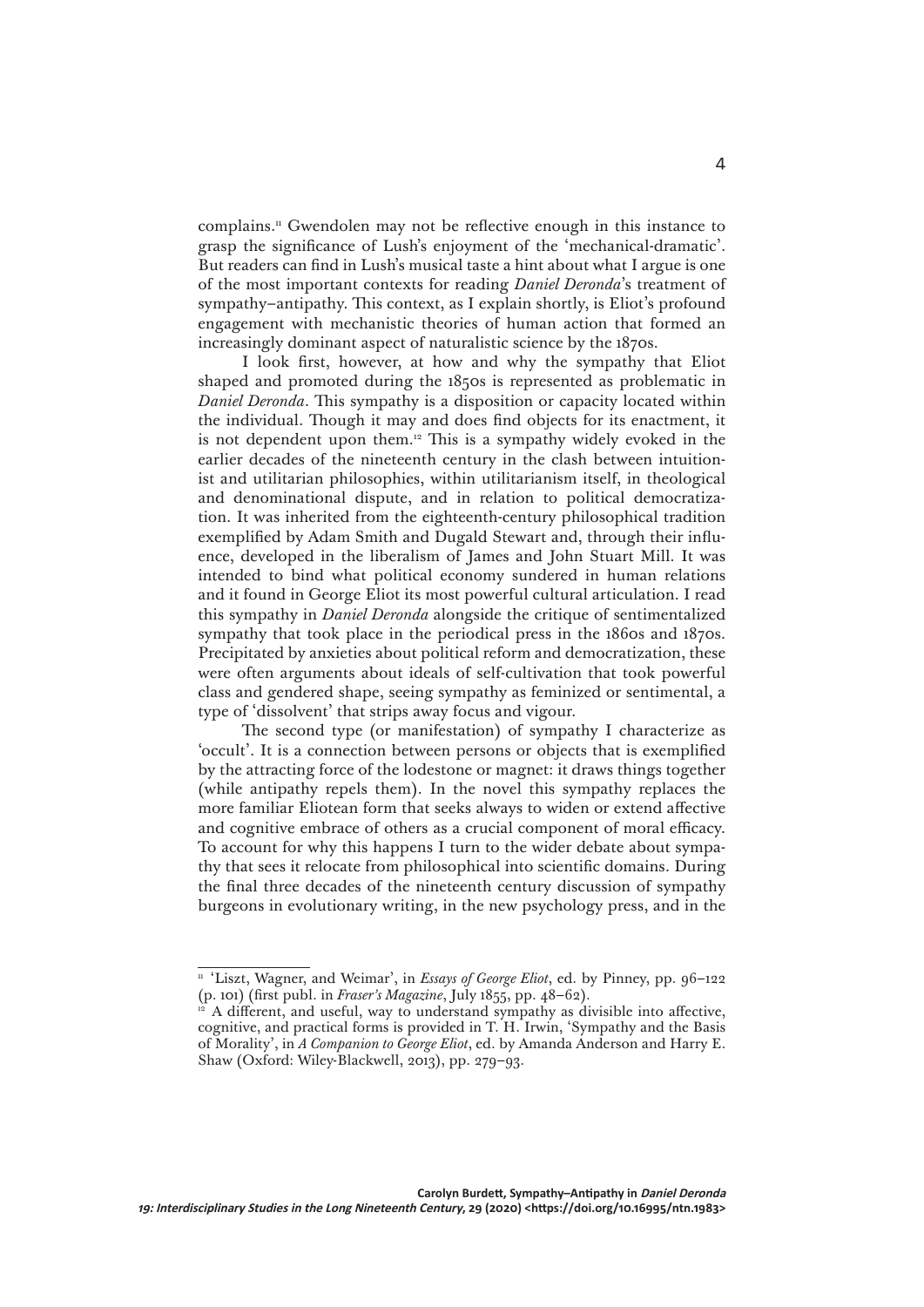complains.11 Gwendolen may not be reflective enough in this instance to grasp the significance of Lush's enjoyment of the 'mechanical-dramatic'. But readers can find in Lush's musical taste a hint about what I argue is one of the most important contexts for reading *Daniel Deronda*'s treatment of sympathy–antipathy. This context, as I explain shortly, is Eliot's profound engagement with mechanistic theories of human action that formed an increasingly dominant aspect of naturalistic science by the 1870s.

I look first, however, at how and why the sympathy that Eliot shaped and promoted during the 1850s is represented as problematic in *Daniel Deronda*. This sympathy is a disposition or capacity located within the individual. Though it may and does find objects for its enactment, it is not dependent upon them.12 This is a sympathy widely evoked in the earlier decades of the nineteenth century in the clash between intuitionist and utilitarian philosophies, within utilitarianism itself, in theological and denominational dispute, and in relation to political democratization. It was inherited from the eighteenth-century philosophical tradition exemplified by Adam Smith and Dugald Stewart and, through their influence, developed in the liberalism of James and John Stuart Mill. It was intended to bind what political economy sundered in human relations and it found in George Eliot its most powerful cultural articulation. I read this sympathy in *Daniel Deronda* alongside the critique of sentimentalized sympathy that took place in the periodical press in the 1860s and 1870s. Precipitated by anxieties about political reform and democratization, these were often arguments about ideals of self-cultivation that took powerful class and gendered shape, seeing sympathy as feminized or sentimental, a type of 'dissolvent' that strips away focus and vigour.

The second type (or manifestation) of sympathy I characterize as 'occult'. It is a connection between persons or objects that is exemplified by the attracting force of the lodestone or magnet: it draws things together (while antipathy repels them). In the novel this sympathy replaces the more familiar Eliotean form that seeks always to widen or extend affective and cognitive embrace of others as a crucial component of moral efficacy. To account for why this happens I turn to the wider debate about sympathy that sees it relocate from philosophical into scientific domains. During the final three decades of the nineteenth century discussion of sympathy burgeons in evolutionary writing, in the new psychology press, and in the

<sup>&</sup>lt;sup>11</sup> 'Liszt, Wagner, and Weimar', in *Essays of George Eliot*, ed. by Pinney, pp. 96-122 (p. 101) (first publ. in *Fraser's Magazine*, July 1855, pp. 48–62).

A different, and useful, way to understand sympathy as divisible into affective, cognitive, and practical forms is provided in T. H. Irwin, 'Sympathy and the Basis of Morality', in *A Companion to George Eliot*, ed. by Amanda Anderson and Harry E. Shaw (Oxford: Wiley-Blackwell, 2013), pp. 279–93.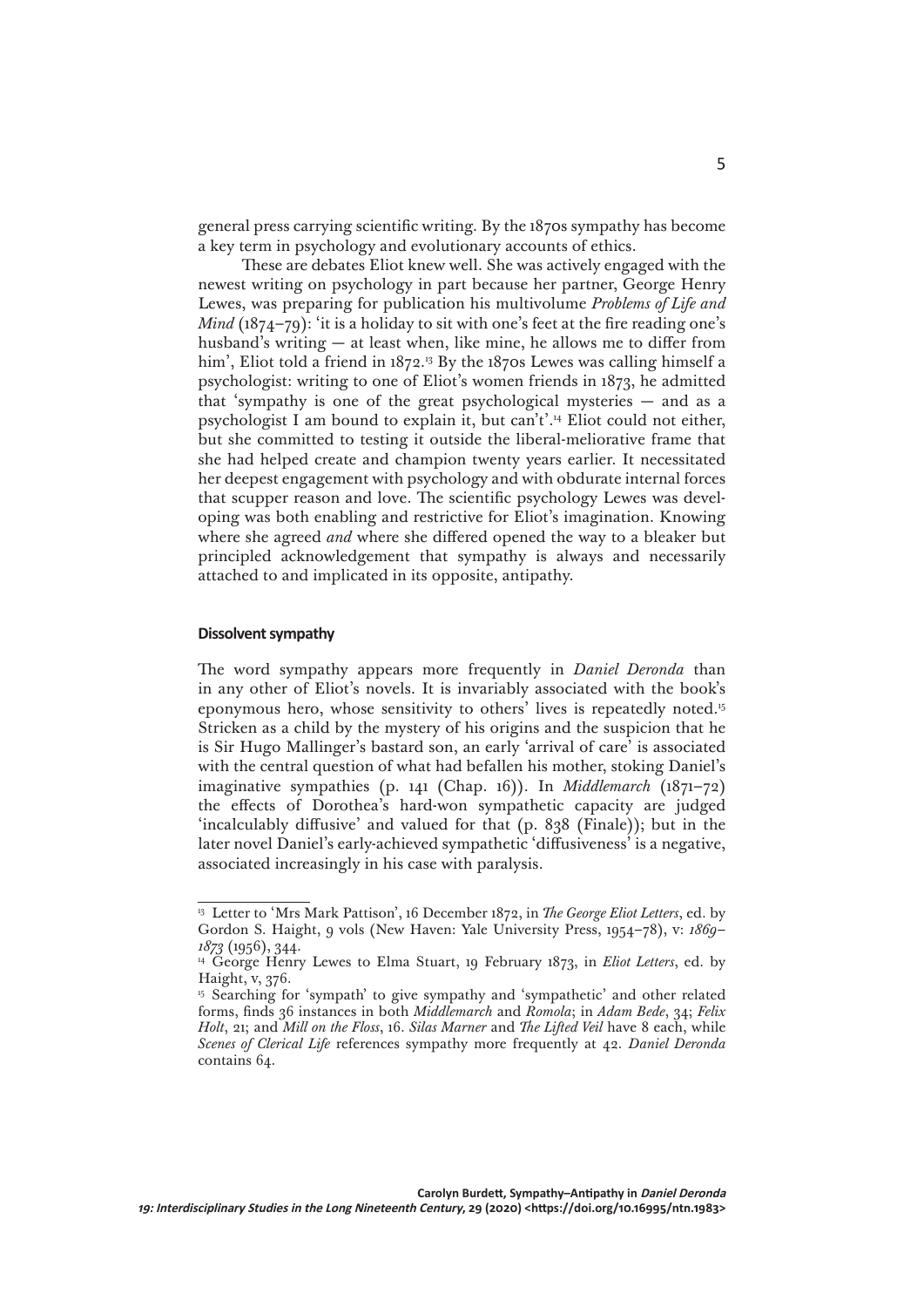general press carrying scientific writing. By the 1870s sympathy has become a key term in psychology and evolutionary accounts of ethics.

These are debates Eliot knew well. She was actively engaged with the newest writing on psychology in part because her partner, George Henry Lewes, was preparing for publication his multivolume *Problems of Life and Mind* (1874–79): 'it is a holiday to sit with one's feet at the fire reading one's husband's writing — at least when, like mine, he allows me to differ from him', Eliot told a friend in 1872.<sup>13</sup> By the 1870s Lewes was calling himself a psychologist: writing to one of Eliot's women friends in 1873, he admitted that 'sympathy is one of the great psychological mysteries — and as a psychologist I am bound to explain it, but can't'.14 Eliot could not either, but she committed to testing it outside the liberal-meliorative frame that she had helped create and champion twenty years earlier. It necessitated her deepest engagement with psychology and with obdurate internal forces that scupper reason and love. The scientific psychology Lewes was developing was both enabling and restrictive for Eliot's imagination. Knowing where she agreed *and* where she differed opened the way to a bleaker but principled acknowledgement that sympathy is always and necessarily attached to and implicated in its opposite, antipathy.

## **Dissolvent sympathy**

The word sympathy appears more frequently in *Daniel Deronda* than in any other of Eliot's novels. It is invariably associated with the book's eponymous hero, whose sensitivity to others' lives is repeatedly noted.15 Stricken as a child by the mystery of his origins and the suspicion that he is Sir Hugo Mallinger's bastard son, an early 'arrival of care' is associated with the central question of what had befallen his mother, stoking Daniel's imaginative sympathies (p. 141 (Chap. 16)). In *Middlemarch* (1871–72) the effects of Dorothea's hard-won sympathetic capacity are judged 'incalculably diffusive' and valued for that (p. 838 (Finale)); but in the later novel Daniel's early-achieved sympathetic 'diffusiveness' is a negative, associated increasingly in his case with paralysis.

<sup>&</sup>lt;sup>13</sup> Letter to 'Mrs Mark Pattison', 16 December 1872, in *The George Eliot Letters*, ed. by Gordon S. Haight, 9 vols (New Haven: Yale University Press, 1954–78), v: *1869– 1873* (1956), 344.

<sup>&</sup>lt;sup>14</sup> George Henry Lewes to Elma Stuart, 19 February 1873, in *Eliot Letters*, ed. by Haight, v, 376.

<sup>&</sup>lt;sup>15</sup> Searching for 'sympath' to give sympathy and 'sympathetic' and other related forms, finds 36 instances in both *Middlemarch* and *Romola*; in *Adam Bede*, 34; *Felix Holt*, 21; and *Mill on the Floss*, 16. *Silas Marner* and *The Lifted Veil* have 8 each, while *Scenes of Clerical Life* references sympathy more frequently at 42. *Daniel Deronda* contains 64.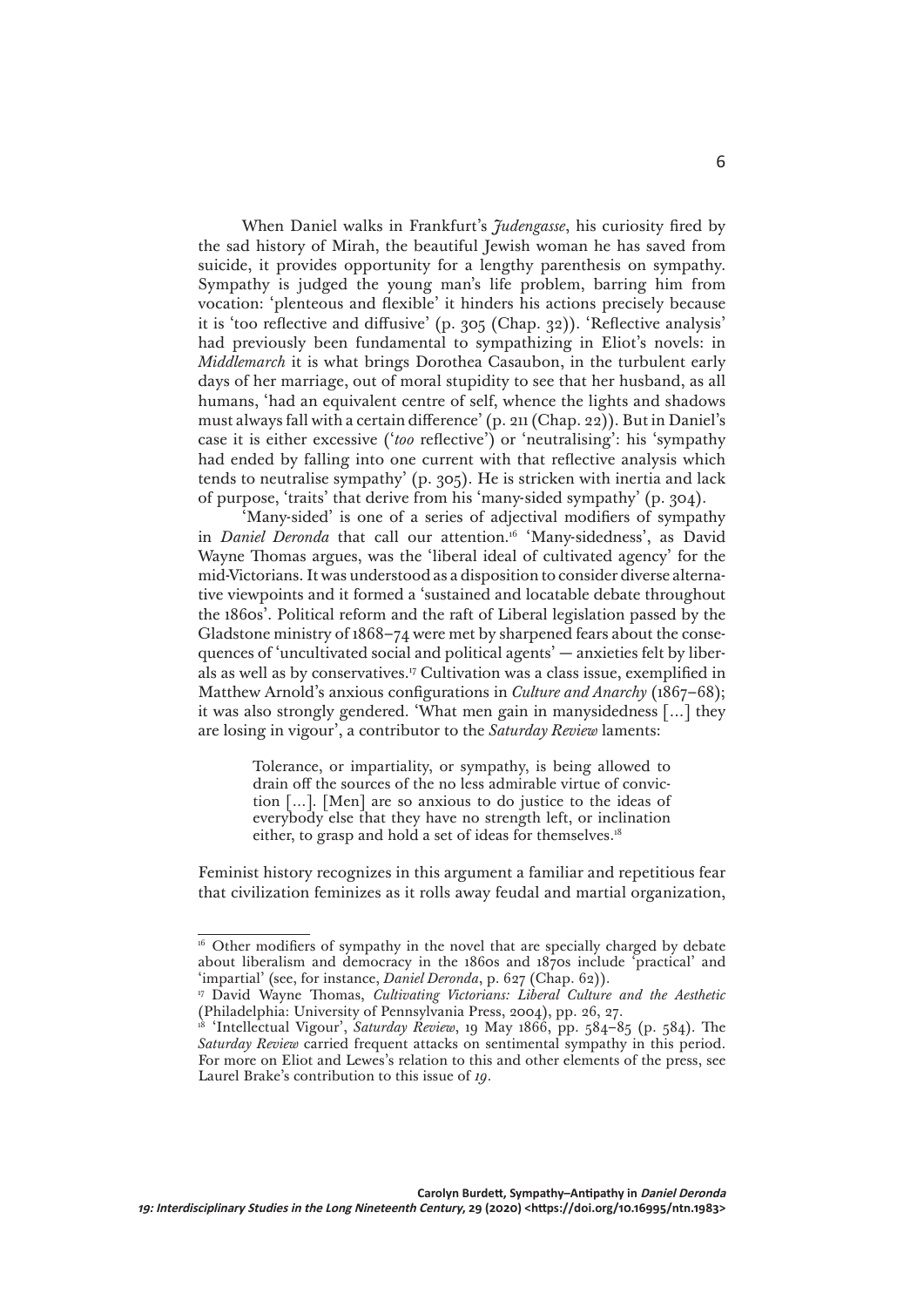When Daniel walks in Frankfurt's *Judengasse*, his curiosity fired by the sad history of Mirah, the beautiful Jewish woman he has saved from suicide, it provides opportunity for a lengthy parenthesis on sympathy. Sympathy is judged the young man's life problem, barring him from vocation: 'plenteous and flexible' it hinders his actions precisely because it is 'too reflective and diffusive' (p. 305 (Chap. 32)). 'Reflective analysis' had previously been fundamental to sympathizing in Eliot's novels: in *Middlemarch* it is what brings Dorothea Casaubon, in the turbulent early days of her marriage, out of moral stupidity to see that her husband, as all humans, 'had an equivalent centre of self, whence the lights and shadows must always fall with a certain difference' (p. 211 (Chap. 22)). But in Daniel's case it is either excessive ('*too* reflective') or 'neutralising': his 'sympathy had ended by falling into one current with that reflective analysis which tends to neutralise sympathy' (p. 305). He is stricken with inertia and lack of purpose, 'traits' that derive from his 'many-sided sympathy' (p. 304).

'Many-sided' is one of a series of adjectival modifiers of sympathy in *Daniel Deronda* that call our attention.<sup>16</sup> 'Many-sidedness', as David Wayne Thomas argues, was the 'liberal ideal of cultivated agency' for the mid-Victorians. It was understood as a disposition to consider diverse alternative viewpoints and it formed a 'sustained and locatable debate throughout the 1860s'. Political reform and the raft of Liberal legislation passed by the Gladstone ministry of 1868–74 were met by sharpened fears about the consequences of 'uncultivated social and political agents' — anxieties felt by liberals as well as by conservatives.17 Cultivation was a class issue, exemplified in Matthew Arnold's anxious configurations in *Culture and Anarchy* (1867–68); it was also strongly gendered. 'What men gain in manysidedness […] they are losing in vigour', a contributor to the *Saturday Review* laments:

> Tolerance, or impartiality, or sympathy, is being allowed to drain off the sources of the no less admirable virtue of conviction […]. [Men] are so anxious to do justice to the ideas of everybody else that they have no strength left, or inclination either, to grasp and hold a set of ideas for themselves.<sup>18</sup>

Feminist history recognizes in this argument a familiar and repetitious fear that civilization feminizes as it rolls away feudal and martial organization,

<sup>&</sup>lt;sup>16</sup> Other modifiers of sympathy in the novel that are specially charged by debate about liberalism and democracy in the 1860s and 1870s include 'practical' and 'impartial' (see, for instance, *Daniel Deronda*, p. 627 (Chap. 62)).

<sup>17</sup> David Wayne Thomas, *Cultivating Victorians: Liberal Culture and the Aesthetic* (Philadelphia: University of Pennsylvania Press, 2004), pp. 26, 27.

<sup>18</sup> 'Intellectual Vigour', *Saturday Review*, 19 May 1866, pp. 584–85 (p. 584). The *Saturday Review* carried frequent attacks on sentimental sympathy in this period. For more on Eliot and Lewes's relation to this and other elements of the press, see Laurel Brake's contribution to this issue of *19*.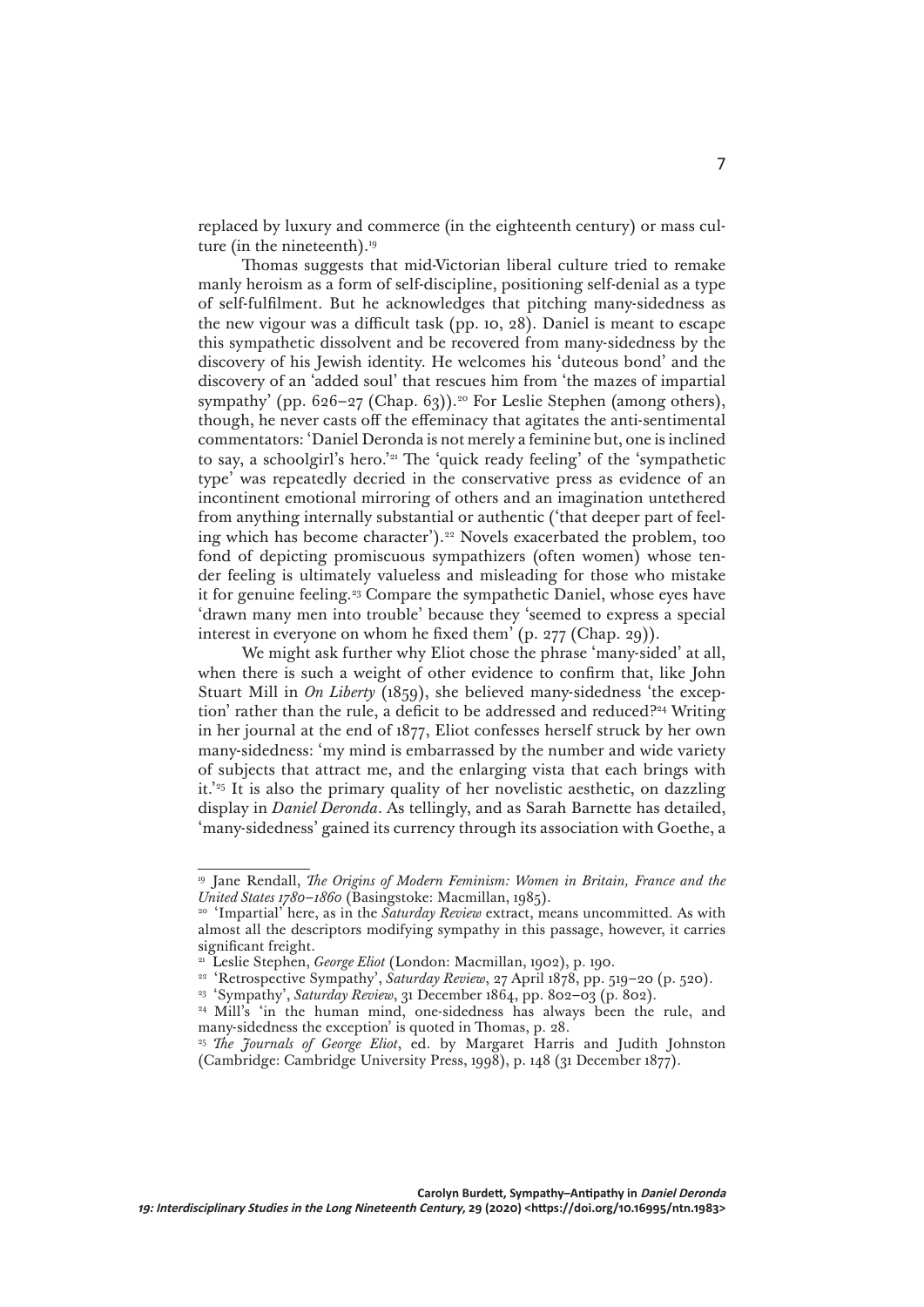replaced by luxury and commerce (in the eighteenth century) or mass culture (in the nineteenth).<sup>19</sup>

Thomas suggests that mid-Victorian liberal culture tried to remake manly heroism as a form of self-discipline, positioning self-denial as a type of self-fulfilment. But he acknowledges that pitching many-sidedness as the new vigour was a difficult task (pp. 10, 28). Daniel is meant to escape this sympathetic dissolvent and be recovered from many-sidedness by the discovery of his Jewish identity. He welcomes his 'duteous bond' and the discovery of an 'added soul' that rescues him from 'the mazes of impartial sympathy' (pp. 626–27 (Chap. 63)).<sup>20</sup> For Leslie Stephen (among others), though, he never casts off the effeminacy that agitates the anti-sentimental commentators: 'Daniel Deronda is not merely a feminine but, one is inclined to say, a schoolgirl's hero.'21 The 'quick ready feeling' of the 'sympathetic type' was repeatedly decried in the conservative press as evidence of an incontinent emotional mirroring of others and an imagination untethered from anything internally substantial or authentic ('that deeper part of feeling which has become character').22 Novels exacerbated the problem, too fond of depicting promiscuous sympathizers (often women) whose tender feeling is ultimately valueless and misleading for those who mistake it for genuine feeling.<sup>23</sup> Compare the sympathetic Daniel, whose eyes have 'drawn many men into trouble' because they 'seemed to express a special interest in everyone on whom he fixed them' (p. 277 (Chap. 29)).

We might ask further why Eliot chose the phrase 'many-sided' at all, when there is such a weight of other evidence to confirm that, like John Stuart Mill in *On Liberty* (1859), she believed many-sidedness 'the exception' rather than the rule, a deficit to be addressed and reduced?<sup>24</sup> Writing in her journal at the end of 1877, Eliot confesses herself struck by her own many-sidedness: 'my mind is embarrassed by the number and wide variety of subjects that attract me, and the enlarging vista that each brings with it.'25 It is also the primary quality of her novelistic aesthetic, on dazzling display in *Daniel Deronda*. As tellingly, and as Sarah Barnette has detailed, 'many-sidedness' gained its currency through its association with Goethe, a

<sup>19</sup> Jane Rendall, *The Origins of Modern Feminism: Women in Britain, France and the United States 1780–1860* (Basingstoke: Macmillan, 1985).

<sup>20</sup> 'Impartial' here, as in the *Saturday Review* extract, means uncommitted. As with almost all the descriptors modifying sympathy in this passage, however, it carries significant freight.

<sup>21</sup> Leslie Stephen, *George Eliot* (London: Macmillan, 1902), p. 190.

<sup>&</sup>lt;sup>22</sup> 'Retrospective Sympathy', *Saturday Review*, 27 April 1878, pp. 519-20 (p. 520).

<sup>&</sup>lt;sup>23</sup> 'Sympathy', Saturday Review, 31 December 1864, pp. 802-03 (p. 802).

<sup>&</sup>lt;sup>24</sup> Mill's 'in the human mind, one-sidedness has always been the rule, and many-sidedness the exception' is quoted in Thomas, p. 28.

<sup>&</sup>lt;sup>25</sup> *The Journals of George Eliot*, ed. by Margaret Harris and Judith Johnston (Cambridge: Cambridge University Press, 1998), p. 148 (31 December 1877).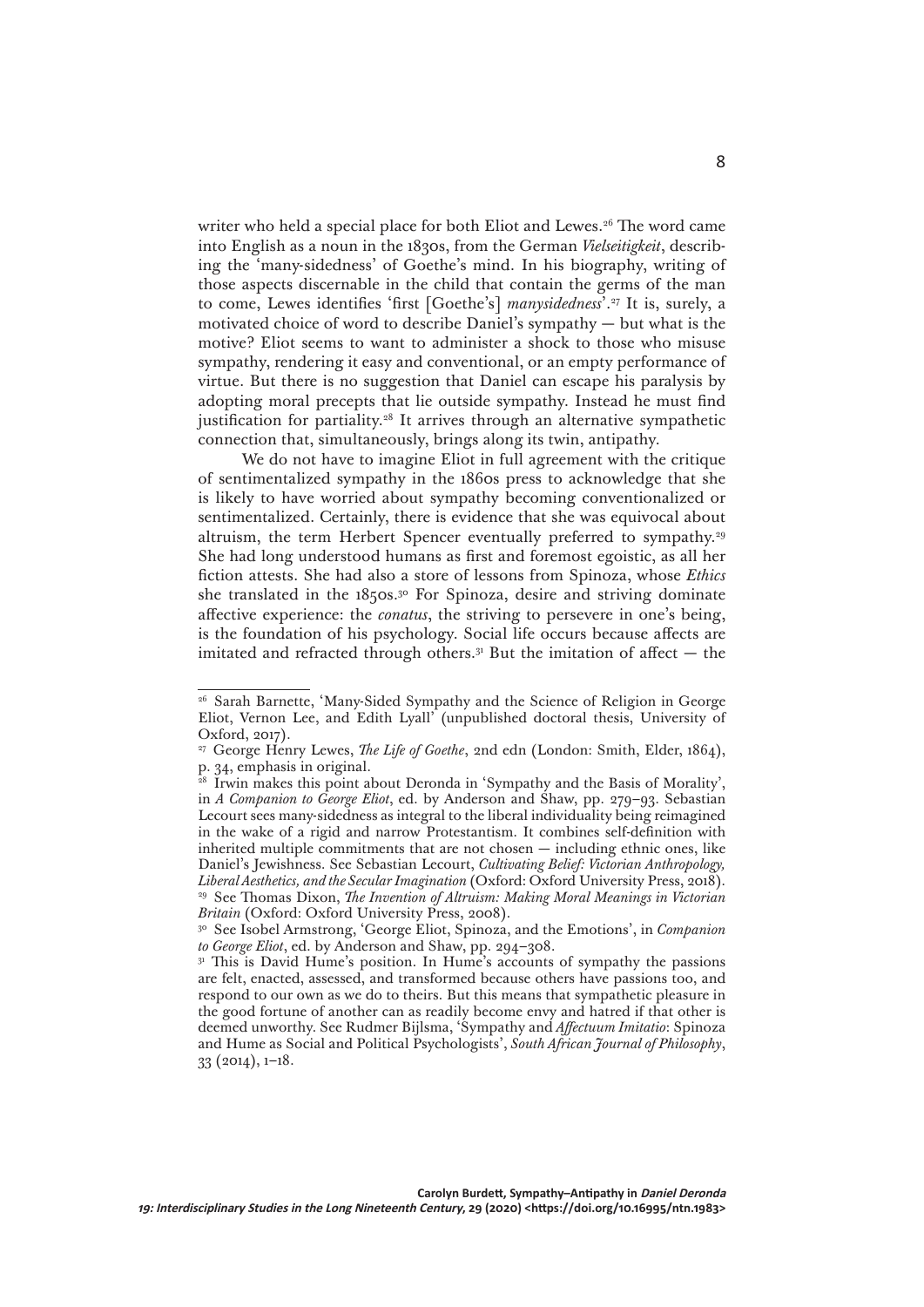writer who held a special place for both Eliot and Lewes.<sup>26</sup> The word came into English as a noun in the 1830s, from the German *Vielseitigkeit*, describing the 'many-sidedness' of Goethe's mind. In his biography, writing of those aspects discernable in the child that contain the germs of the man to come, Lewes identifies 'first [Goethe's] *manysidedness*'.27 It is, surely, a motivated choice of word to describe Daniel's sympathy — but what is the motive? Eliot seems to want to administer a shock to those who misuse sympathy, rendering it easy and conventional, or an empty performance of virtue. But there is no suggestion that Daniel can escape his paralysis by adopting moral precepts that lie outside sympathy. Instead he must find justification for partiality.<sup>28</sup> It arrives through an alternative sympathetic connection that, simultaneously, brings along its twin, antipathy.

We do not have to imagine Eliot in full agreement with the critique of sentimentalized sympathy in the 1860s press to acknowledge that she is likely to have worried about sympathy becoming conventionalized or sentimentalized. Certainly, there is evidence that she was equivocal about altruism, the term Herbert Spencer eventually preferred to sympathy.<sup>29</sup> She had long understood humans as first and foremost egoistic, as all her fiction attests. She had also a store of lessons from Spinoza, whose *Ethics* she translated in the 1850s.<sup>30</sup> For Spinoza, desire and striving dominate affective experience: the *conatus*, the striving to persevere in one's being, is the foundation of his psychology. Social life occurs because affects are imitated and refracted through others. $31$  But the imitation of affect  $-$  the

<sup>26</sup> Sarah Barnette, 'Many-Sided Sympathy and the Science of Religion in George Eliot, Vernon Lee, and Edith Lyall' (unpublished doctoral thesis, University of Oxford, 2017).

<sup>&</sup>lt;sup>27</sup> George Henry Lewes, *The Life of Goethe*, 2nd edn (London: Smith, Elder, 1864), p. 34, emphasis in original.

Irwin makes this point about Deronda in 'Sympathy and the Basis of Morality', in *A Companion to George Eliot*, ed. by Anderson and Shaw, pp. 279–93. Sebastian Lecourt sees many-sidedness as integral to the liberal individuality being reimagined in the wake of a rigid and narrow Protestantism. It combines self-definition with inherited multiple commitments that are not chosen — including ethnic ones, like Daniel's Jewishness. See Sebastian Lecourt, *Cultivating Belief: Victorian Anthropology, Liberal Aesthetics, and the Secular Imagination* (Oxford: Oxford University Press, 2018). <sup>29</sup> See Thomas Dixon, *The Invention of Altruism: Making Moral Meanings in Victorian Britain* (Oxford: Oxford University Press, 2008).

<sup>30</sup> See Isobel Armstrong, 'George Eliot, Spinoza, and the Emotions', in *Companion to George Eliot*, ed. by Anderson and Shaw, pp. 294–308.

<sup>&</sup>lt;sup>31</sup> This is David Hume's position. In Hume's accounts of sympathy the passions are felt, enacted, assessed, and transformed because others have passions too, and respond to our own as we do to theirs. But this means that sympathetic pleasure in the good fortune of another can as readily become envy and hatred if that other is deemed unworthy. See Rudmer Bijlsma, 'Sympathy and *Affectuum Imitatio*: Spinoza and Hume as Social and Political Psychologists', *South African Journal of Philosophy*, 33 (2014), 1–18.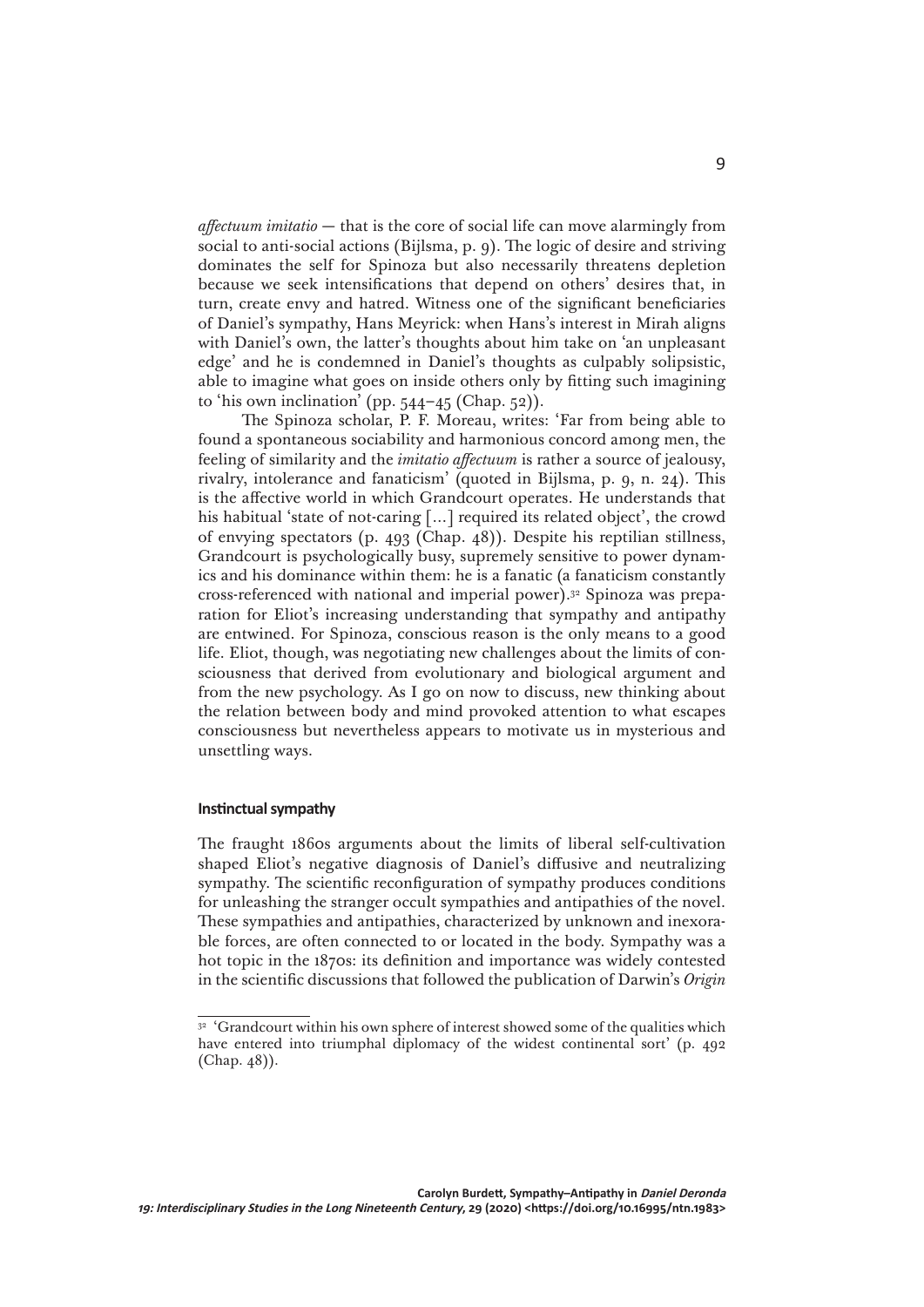*affectuum imitatio* — that is the core of social life can move alarmingly from social to anti-social actions (Bijlsma, p. 9). The logic of desire and striving dominates the self for Spinoza but also necessarily threatens depletion because we seek intensifications that depend on others' desires that, in turn, create envy and hatred. Witness one of the significant beneficiaries of Daniel's sympathy, Hans Meyrick: when Hans's interest in Mirah aligns with Daniel's own, the latter's thoughts about him take on 'an unpleasant edge' and he is condemned in Daniel's thoughts as culpably solipsistic, able to imagine what goes on inside others only by fitting such imagining to 'his own inclination' (pp.  $544-45$  (Chap.  $52$ )).

The Spinoza scholar, P. F. Moreau, writes: 'Far from being able to found a spontaneous sociability and harmonious concord among men, the feeling of similarity and the *imitatio affectuum* is rather a source of jealousy, rivalry, intolerance and fanaticism' (quoted in Bijlsma, p. 9, n. 24). This is the affective world in which Grandcourt operates. He understands that his habitual 'state of not-caring [...] required its related object', the crowd of envying spectators (p. 493 (Chap. 48)). Despite his reptilian stillness, Grandcourt is psychologically busy, supremely sensitive to power dynamics and his dominance within them: he is a fanatic (a fanaticism constantly cross-referenced with national and imperial power).32 Spinoza was preparation for Eliot's increasing understanding that sympathy and antipathy are entwined. For Spinoza, conscious reason is the only means to a good life. Eliot, though, was negotiating new challenges about the limits of consciousness that derived from evolutionary and biological argument and from the new psychology. As I go on now to discuss, new thinking about the relation between body and mind provoked attention to what escapes consciousness but nevertheless appears to motivate us in mysterious and unsettling ways.

## **Instinctual sympathy**

The fraught 1860s arguments about the limits of liberal self-cultivation shaped Eliot's negative diagnosis of Daniel's diffusive and neutralizing sympathy. The scientific reconfiguration of sympathy produces conditions for unleashing the stranger occult sympathies and antipathies of the novel. These sympathies and antipathies, characterized by unknown and inexorable forces, are often connected to or located in the body. Sympathy was a hot topic in the 1870s: its definition and importance was widely contested in the scientific discussions that followed the publication of Darwin's *Origin* 

<sup>&</sup>lt;sup>32</sup> 'Grandcourt within his own sphere of interest showed some of the qualities which have entered into triumphal diplomacy of the widest continental sort' (p. 492) (Chap. 48)).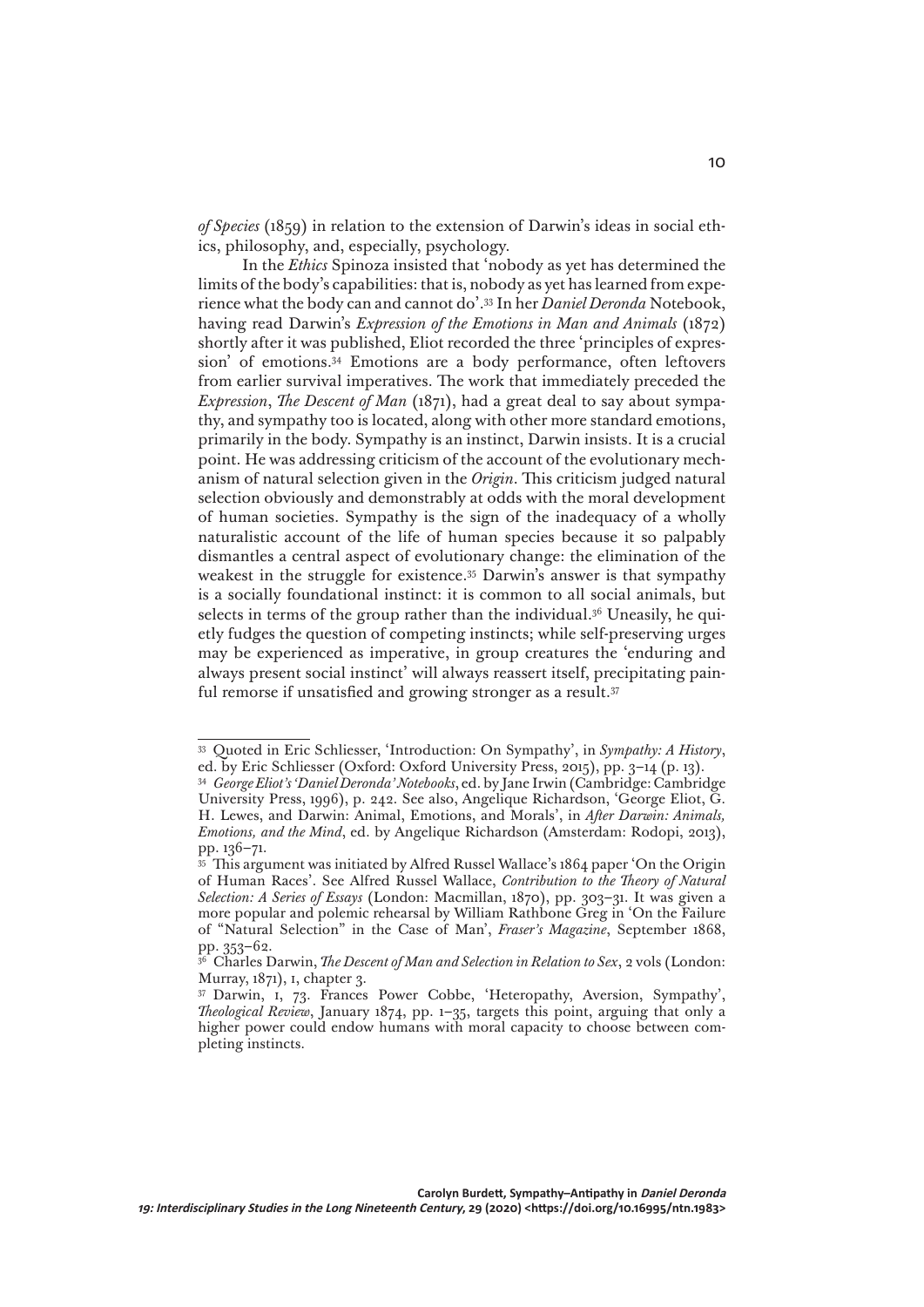*of Species* (1859) in relation to the extension of Darwin's ideas in social ethics, philosophy, and, especially, psychology.

In the *Ethics* Spinoza insisted that 'nobody as yet has determined the limits of the body's capabilities: that is, nobody as yet has learned from experience what the body can and cannot do'.33 In her *Daniel Deronda* Notebook, having read Darwin's *Expression of the Emotions in Man and Animals* (1872) shortly after it was published, Eliot recorded the three 'principles of expression' of emotions.34 Emotions are a body performance, often leftovers from earlier survival imperatives. The work that immediately preceded the *Expression*, *The Descent of Man* (1871), had a great deal to say about sympathy, and sympathy too is located, along with other more standard emotions, primarily in the body. Sympathy is an instinct, Darwin insists. It is a crucial point. He was addressing criticism of the account of the evolutionary mechanism of natural selection given in the *Origin*. This criticism judged natural selection obviously and demonstrably at odds with the moral development of human societies. Sympathy is the sign of the inadequacy of a wholly naturalistic account of the life of human species because it so palpably dismantles a central aspect of evolutionary change: the elimination of the weakest in the struggle for existence.35 Darwin's answer is that sympathy is a socially foundational instinct: it is common to all social animals, but selects in terms of the group rather than the individual.<sup>36</sup> Uneasily, he quietly fudges the question of competing instincts; while self-preserving urges may be experienced as imperative, in group creatures the 'enduring and always present social instinct' will always reassert itself, precipitating painful remorse if unsatisfied and growing stronger as a result.<sup>37</sup>

<sup>33</sup> Quoted in Eric Schliesser, 'Introduction: On Sympathy', in *Sympathy: A History*, ed. by Eric Schliesser (Oxford: Oxford University Press, 2015), pp. 3–14 (p. 13).

<sup>34</sup> *George Eliot's 'Daniel Deronda' Notebooks*, ed. by Jane Irwin (Cambridge: Cambridge University Press, 1996), p. 242. See also, Angelique Richardson, 'George Eliot, G. H. Lewes, and Darwin: Animal, Emotions, and Morals', in *After Darwin: Animals, Emotions, and the Mind*, ed. by Angelique Richardson (Amsterdam: Rodopi, 2013), pp. 136–71.

 $35$  This argument was initiated by Alfred Russel Wallace's 1864 paper 'On the Origin of Human Races'. See Alfred Russel Wallace, *Contribution to the Theory of Natural Selection: A Series of Essays* (London: Macmillan, 1870), pp. 303–31. It was given a more popular and polemic rehearsal by William Rathbone Greg in 'On the Failure of "Natural Selection" in the Case of Man', *Fraser's Magazine*, September 1868, pp. 353–62.

<sup>36</sup> Charles Darwin, *The Descent of Man and Selection in Relation to Sex*, 2 vols (London: Murray, 1871), i, chapter 3.

<sup>37</sup> Darwin, i, 73. Frances Power Cobbe, 'Heteropathy, Aversion, Sympathy', *Theological Review*, January 1874, pp. 1–35, targets this point, arguing that only a higher power could endow humans with moral capacity to choose between completing instincts.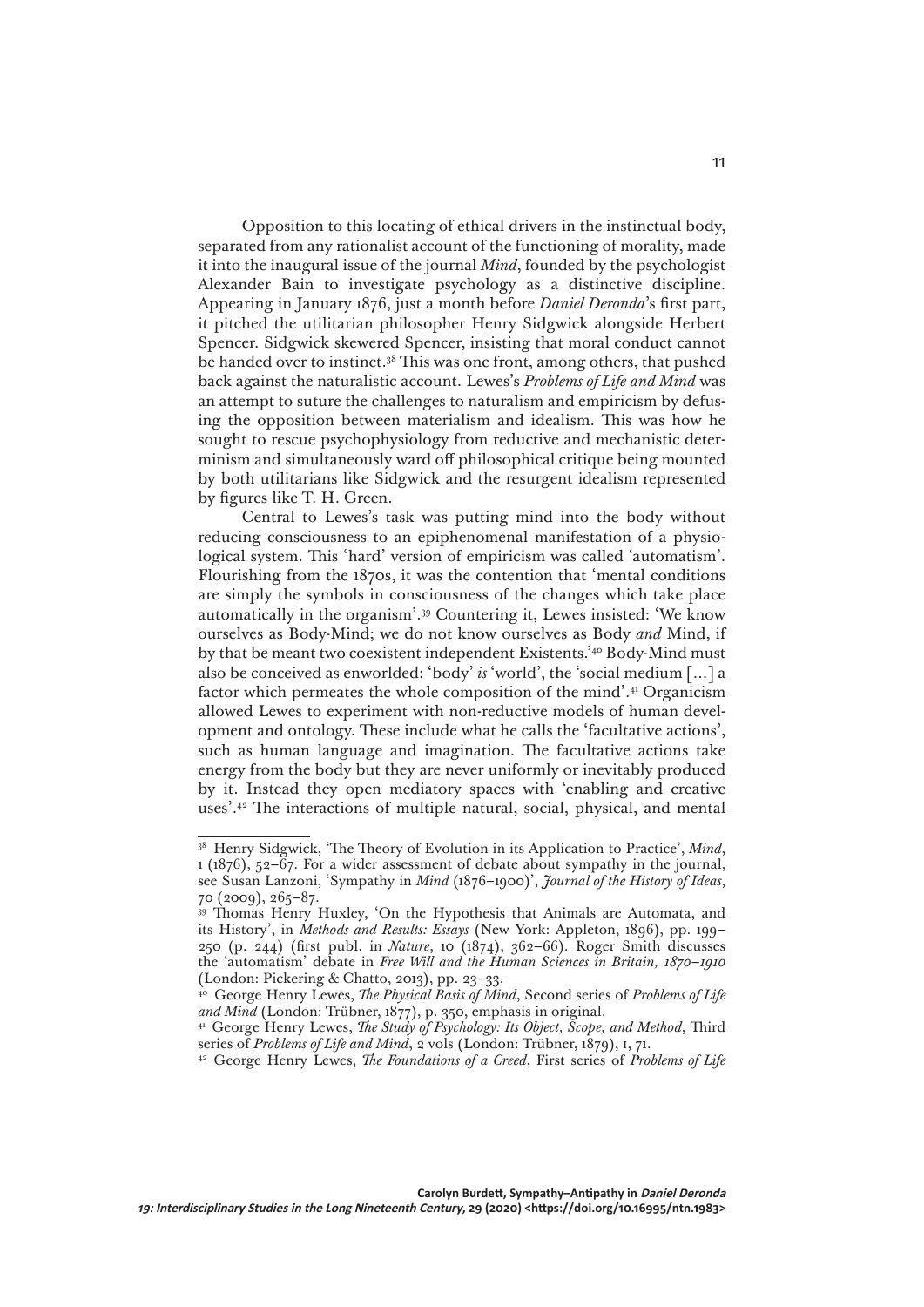Opposition to this locating of ethical drivers in the instinctual body, separated from any rationalist account of the functioning of morality, made it into the inaugural issue of the journal *Mind*, founded by the psychologist Alexander Bain to investigate psychology as a distinctive discipline. Appearing in January 1876, just a month before *Daniel Deronda*'s first part, it pitched the utilitarian philosopher Henry Sidgwick alongside Herbert Spencer. Sidgwick skewered Spencer, insisting that moral conduct cannot be handed over to instinct.38 This was one front, among others, that pushed back against the naturalistic account. Lewes's *Problems of Life and Mind* was an attempt to suture the challenges to naturalism and empiricism by defusing the opposition between materialism and idealism. This was how he sought to rescue psychophysiology from reductive and mechanistic determinism and simultaneously ward off philosophical critique being mounted by both utilitarians like Sidgwick and the resurgent idealism represented by figures like T. H. Green.

Central to Lewes's task was putting mind into the body without reducing consciousness to an epiphenomenal manifestation of a physiological system. This 'hard' version of empiricism was called 'automatism'. Flourishing from the 1870s, it was the contention that 'mental conditions are simply the symbols in consciousness of the changes which take place automatically in the organism'.39 Countering it, Lewes insisted: 'We know ourselves as Body-Mind; we do not know ourselves as Body *and* Mind, if by that be meant two coexistent independent Existents.'40 Body-Mind must also be conceived as enworlded: 'body' *is* 'world', the 'social medium […] a factor which permeates the whole composition of the mind'.41 Organicism allowed Lewes to experiment with non-reductive models of human development and ontology. These include what he calls the 'facultative actions', such as human language and imagination. The facultative actions take energy from the body but they are never uniformly or inevitably produced by it. Instead they open mediatory spaces with 'enabling and creative uses'.42 The interactions of multiple natural, social, physical, and mental

<sup>38</sup> Henry Sidgwick, 'The Theory of Evolution in its Application to Practice', *Mind*, 1 (1876), 52–67. For a wider assessment of debate about sympathy in the journal, see Susan Lanzoni, 'Sympathy in *Mind* (1876–1900)', *Journal of the History of Ideas*, 70 (2009), 265–87.

<sup>&</sup>lt;sup>39</sup> Thomas Henry Huxley, 'On the Hypothesis that Animals are Automata, and its History', in *Methods and Results: Essays* (New York: Appleton, 1896), pp. 199– 250 (p. 244) (first publ. in *Nature*, 10 (1874), 362–66). Roger Smith discusses the 'automatism' debate in *Free Will and the Human Sciences in Britain, 1870–1910* (London: Pickering & Chatto, 2013), pp. 23–33.

<sup>40</sup> George Henry Lewes, *The Physical Basis of Mind*, Second series of *Problems of Life and Mind* (London: Trübner, 1877), p. 350, emphasis in original.

<sup>41</sup> George Henry Lewes, *The Study of Psychology: Its Object, Scope, and Method*, Third series of *Problems of Life and Mind*, 2 vols (London: Trübner, 1879), I, 71.

<sup>42</sup> George Henry Lewes, *The Foundations of a Creed*, First series of *Problems of Life*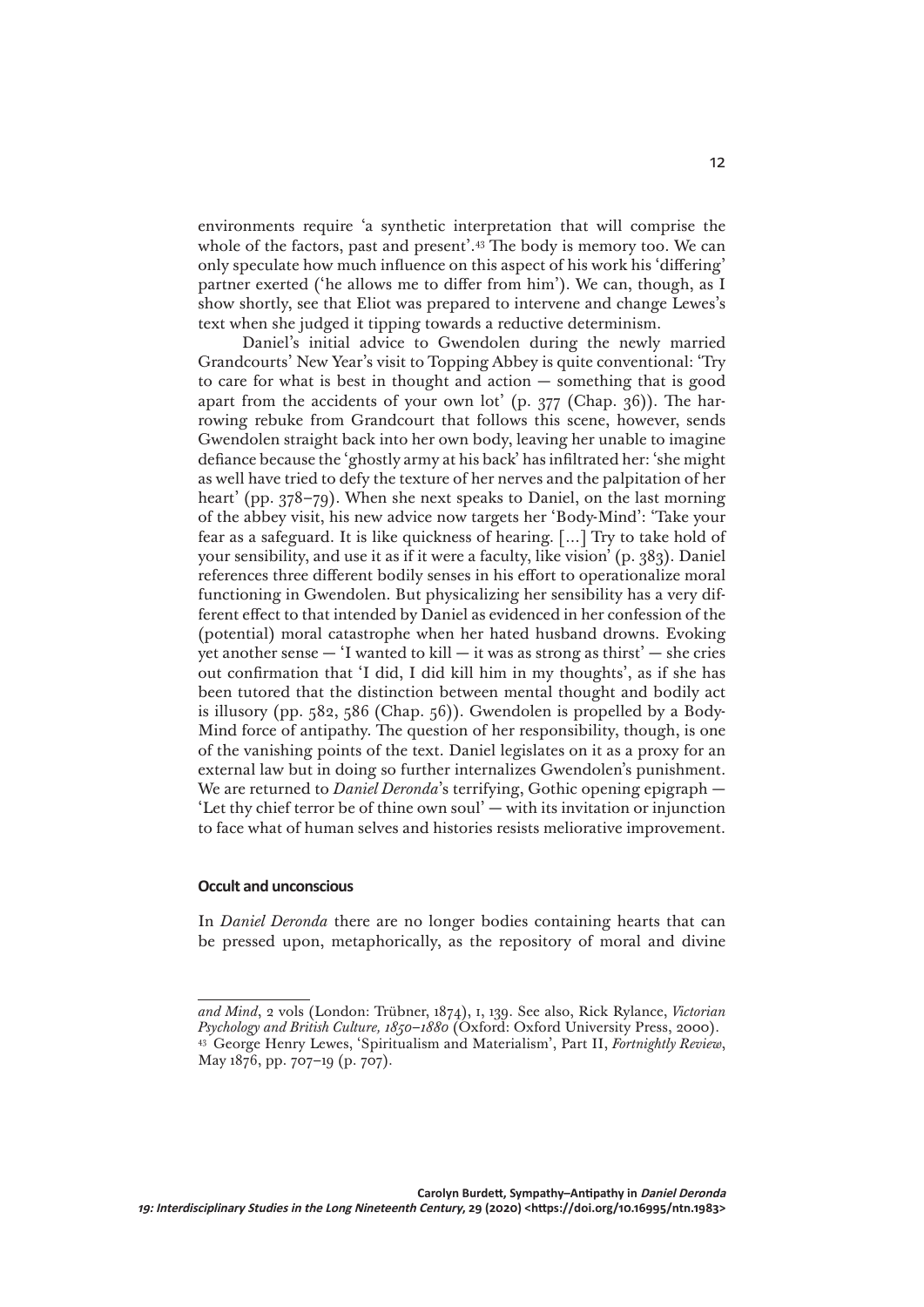environments require 'a synthetic interpretation that will comprise the whole of the factors, past and present'.<sup>43</sup> The body is memory too. We can only speculate how much influence on this aspect of his work his 'differing' partner exerted ('he allows me to differ from him'). We can, though, as I show shortly, see that Eliot was prepared to intervene and change Lewes's text when she judged it tipping towards a reductive determinism.

Daniel's initial advice to Gwendolen during the newly married Grandcourts' New Year's visit to Topping Abbey is quite conventional: 'Try to care for what is best in thought and action — something that is good apart from the accidents of your own lot' (p. 377 (Chap. 36)). The harrowing rebuke from Grandcourt that follows this scene, however, sends Gwendolen straight back into her own body, leaving her unable to imagine defiance because the 'ghostly army at his back' has infiltrated her: 'she might as well have tried to defy the texture of her nerves and the palpitation of her heart' (pp. 378–79). When she next speaks to Daniel, on the last morning of the abbey visit, his new advice now targets her 'Body-Mind': 'Take your fear as a safeguard. It is like quickness of hearing. […] Try to take hold of your sensibility, and use it as if it were a faculty, like vision' (p. 383). Daniel references three different bodily senses in his effort to operationalize moral functioning in Gwendolen. But physicalizing her sensibility has a very different effect to that intended by Daniel as evidenced in her confession of the (potential) moral catastrophe when her hated husband drowns. Evoking yet another sense  $-$  'I wanted to kill  $-$  it was as strong as thirst'  $-$  she cries out confirmation that 'I did, I did kill him in my thoughts', as if she has been tutored that the distinction between mental thought and bodily act is illusory (pp. 582, 586 (Chap. 56)). Gwendolen is propelled by a Body-Mind force of antipathy. The question of her responsibility, though, is one of the vanishing points of the text. Daniel legislates on it as a proxy for an external law but in doing so further internalizes Gwendolen's punishment. We are returned to *Daniel Deronda*'s terrifying, Gothic opening epigraph — 'Let thy chief terror be of thine own soul' — with its invitation or injunction to face what of human selves and histories resists meliorative improvement.

## **Occult and unconscious**

In *Daniel Deronda* there are no longer bodies containing hearts that can be pressed upon, metaphorically, as the repository of moral and divine

*and Mind*, 2 vols (London: Trübner, 1874), i, 139. See also, Rick Rylance, *Victorian Psychology and British Culture, 1850–1880* (Oxford: Oxford University Press, 2000). <sup>43</sup> George Henry Lewes, 'Spiritualism and Materialism', Part II, *Fortnightly Review*, May 1876, pp. 707–19 (p. 707).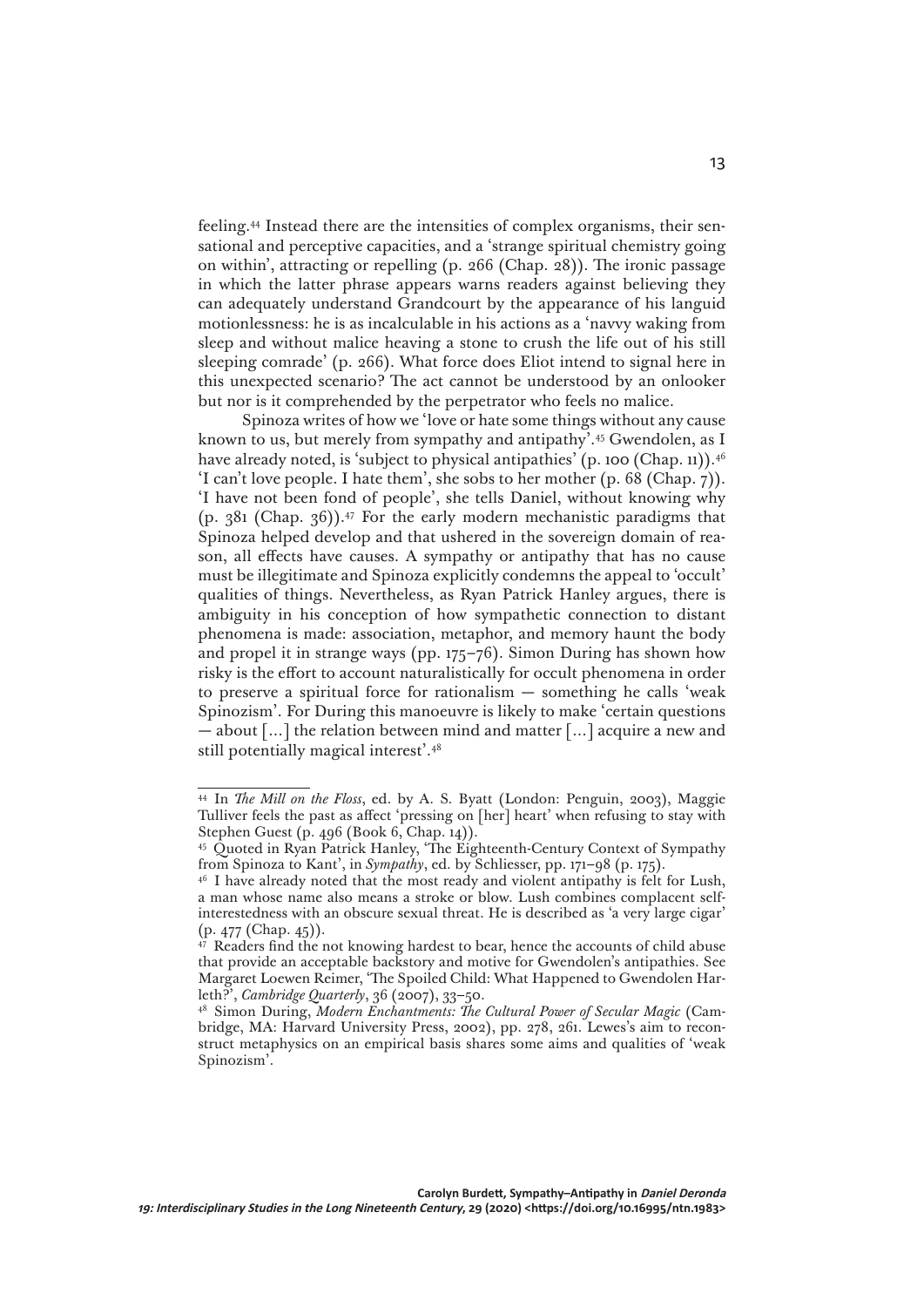feeling.44 Instead there are the intensities of complex organisms, their sensational and perceptive capacities, and a 'strange spiritual chemistry going on within', attracting or repelling (p. 266 (Chap. 28)). The ironic passage in which the latter phrase appears warns readers against believing they can adequately understand Grandcourt by the appearance of his languid motionlessness: he is as incalculable in his actions as a 'navvy waking from sleep and without malice heaving a stone to crush the life out of his still sleeping comrade' (p. 266). What force does Eliot intend to signal here in this unexpected scenario? The act cannot be understood by an onlooker but nor is it comprehended by the perpetrator who feels no malice.

Spinoza writes of how we 'love or hate some things without any cause known to us, but merely from sympathy and antipathy'.45 Gwendolen, as I have already noted, is 'subject to physical antipathies' (p. 100 (Chap. 11)).<sup>46</sup> 'I can't love people. I hate them', she sobs to her mother (p. 68 (Chap. 7)). 'I have not been fond of people', she tells Daniel, without knowing why (p.  $381$  (Chap.  $36$ )).<sup>47</sup> For the early modern mechanistic paradigms that Spinoza helped develop and that ushered in the sovereign domain of reason, all effects have causes. A sympathy or antipathy that has no cause must be illegitimate and Spinoza explicitly condemns the appeal to 'occult' qualities of things. Nevertheless, as Ryan Patrick Hanley argues, there is ambiguity in his conception of how sympathetic connection to distant phenomena is made: association, metaphor, and memory haunt the body and propel it in strange ways (pp. 175–76). Simon During has shown how risky is the effort to account naturalistically for occult phenomena in order to preserve a spiritual force for rationalism — something he calls 'weak Spinozism'. For During this manoeuvre is likely to make 'certain questions — about  $\lceil \ldots \rceil$  the relation between mind and matter  $\lceil \ldots \rceil$  acquire a new and still potentially magical interest'.48

<sup>44</sup> In *The Mill on the Floss*, ed. by A. S. Byatt (London: Penguin, 2003), Maggie Tulliver feels the past as affect 'pressing on [her] heart' when refusing to stay with Stephen Guest (p. 496 (Book 6, Chap. 14)).

<sup>45</sup> Quoted in Ryan Patrick Hanley, 'The Eighteenth-Century Context of Sympathy from Spinoza to Kant', in *Sympathy*, ed. by Schliesser, pp. 171–98 (p. 175).

<sup>&</sup>lt;sup>46</sup> I have already noted that the most ready and violent antipathy is felt for Lush, a man whose name also means a stroke or blow. Lush combines complacent selfinterestedness with an obscure sexual threat. He is described as 'a very large cigar' (p. 477 (Chap. 45)).

 $47$  Readers find the not knowing hardest to bear, hence the accounts of child abuse that provide an acceptable backstory and motive for Gwendolen's antipathies. See Margaret Loewen Reimer, 'The Spoiled Child: What Happened to Gwendolen Harleth?', *Cambridge Quarterly*, 36 (2007), 33–50.

<sup>48</sup> Simon During, *Modern Enchantments: The Cultural Power of Secular Magic* (Cambridge, MA: Harvard University Press, 2002), pp. 278, 261. Lewes's aim to reconstruct metaphysics on an empirical basis shares some aims and qualities of 'weak Spinozism'.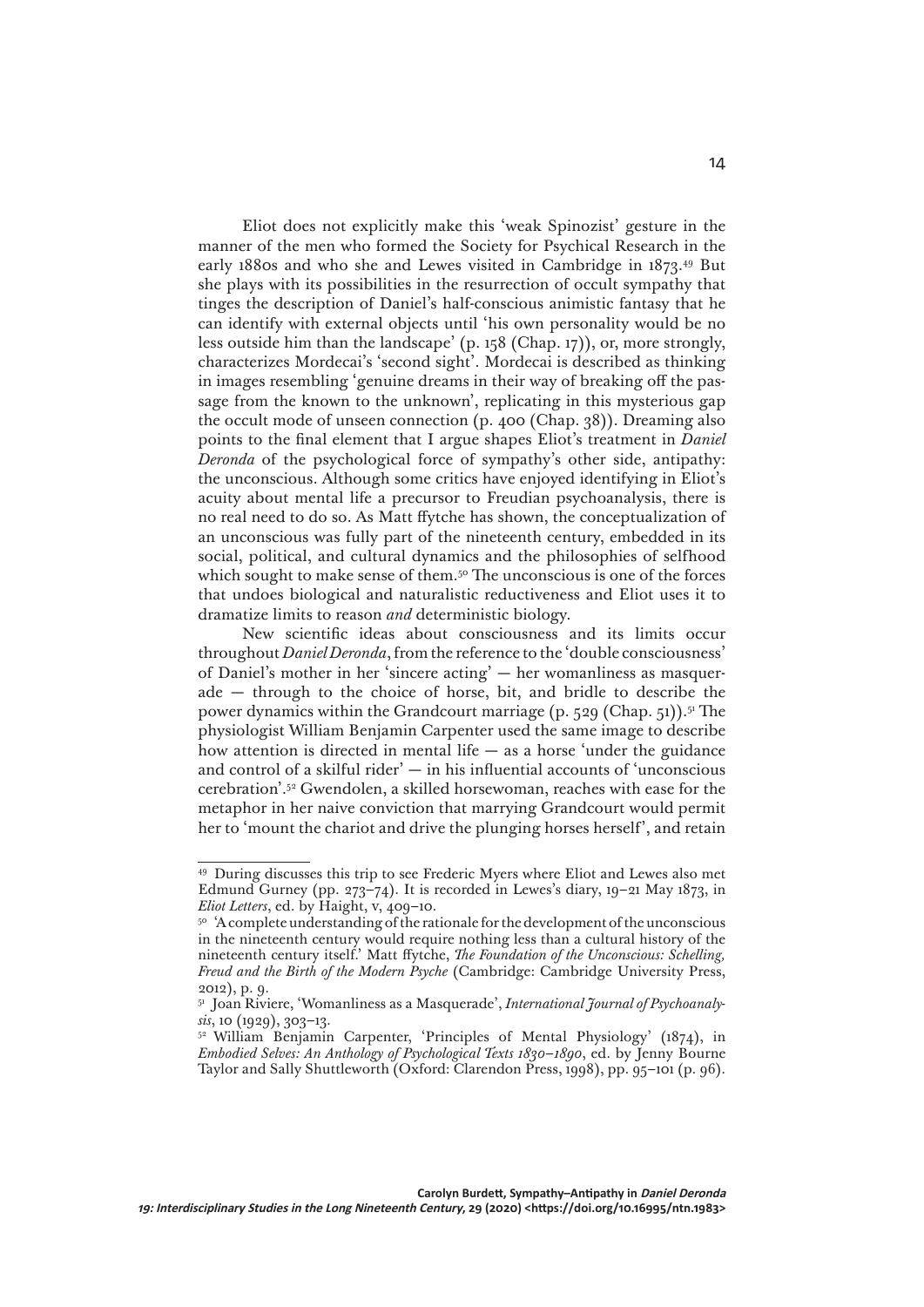Eliot does not explicitly make this 'weak Spinozist' gesture in the manner of the men who formed the Society for Psychical Research in the early 1880s and who she and Lewes visited in Cambridge in 1873.49 But she plays with its possibilities in the resurrection of occult sympathy that tinges the description of Daniel's half-conscious animistic fantasy that he can identify with external objects until 'his own personality would be no less outside him than the landscape' (p. 158 (Chap. 17)), or, more strongly, characterizes Mordecai's 'second sight'. Mordecai is described as thinking in images resembling 'genuine dreams in their way of breaking off the passage from the known to the unknown', replicating in this mysterious gap the occult mode of unseen connection (p. 400 (Chap. 38)). Dreaming also points to the final element that I argue shapes Eliot's treatment in *Daniel Deronda* of the psychological force of sympathy's other side, antipathy: the unconscious. Although some critics have enjoyed identifying in Eliot's acuity about mental life a precursor to Freudian psychoanalysis, there is no real need to do so. As Matt ffytche has shown, the conceptualization of an unconscious was fully part of the nineteenth century, embedded in its social, political, and cultural dynamics and the philosophies of selfhood which sought to make sense of them.<sup>50</sup> The unconscious is one of the forces that undoes biological and naturalistic reductiveness and Eliot uses it to dramatize limits to reason *and* deterministic biology.

New scientific ideas about consciousness and its limits occur throughout *Daniel Deronda*, from the reference to the 'double consciousness' of Daniel's mother in her 'sincere acting' — her womanliness as masquerade — through to the choice of horse, bit, and bridle to describe the power dynamics within the Grandcourt marriage (p. 529 (Chap. 51)).51 The physiologist William Benjamin Carpenter used the same image to describe how attention is directed in mental life  $-$  as a horse 'under the guidance and control of a skilful rider'  $-$  in his influential accounts of 'unconscious cerebration'.52 Gwendolen, a skilled horsewoman, reaches with ease for the metaphor in her naive conviction that marrying Grandcourt would permit her to 'mount the chariot and drive the plunging horses herself', and retain

<sup>49</sup> During discusses this trip to see Frederic Myers where Eliot and Lewes also met Edmund Gurney (pp. 273–74). It is recorded in Lewes's diary, 19–21 May 1873, in *Eliot Letters*, ed. by Haight, v, 409–10.

<sup>&</sup>lt;sup>50</sup> 'A complete understanding of the rationale for the development of the unconscious in the nineteenth century would require nothing less than a cultural history of the nineteenth century itself.' Matt ffytche, *The Foundation of the Unconscious: Schelling, Freud and the Birth of the Modern Psyche* (Cambridge: Cambridge University Press, 2012), p. 9.

<sup>51</sup> Joan Riviere, 'Womanliness as a Masquerade', *International Journal of Psychoanalysis*, 10 (1929), 303–13.

<sup>52</sup> William Benjamin Carpenter, 'Principles of Mental Physiology' (1874), in *Embodied Selves: An Anthology of Psychological Texts 1830–1890*, ed. by Jenny Bourne Taylor and Sally Shuttleworth (Oxford: Clarendon Press, 1998), pp. 95–101 (p. 96).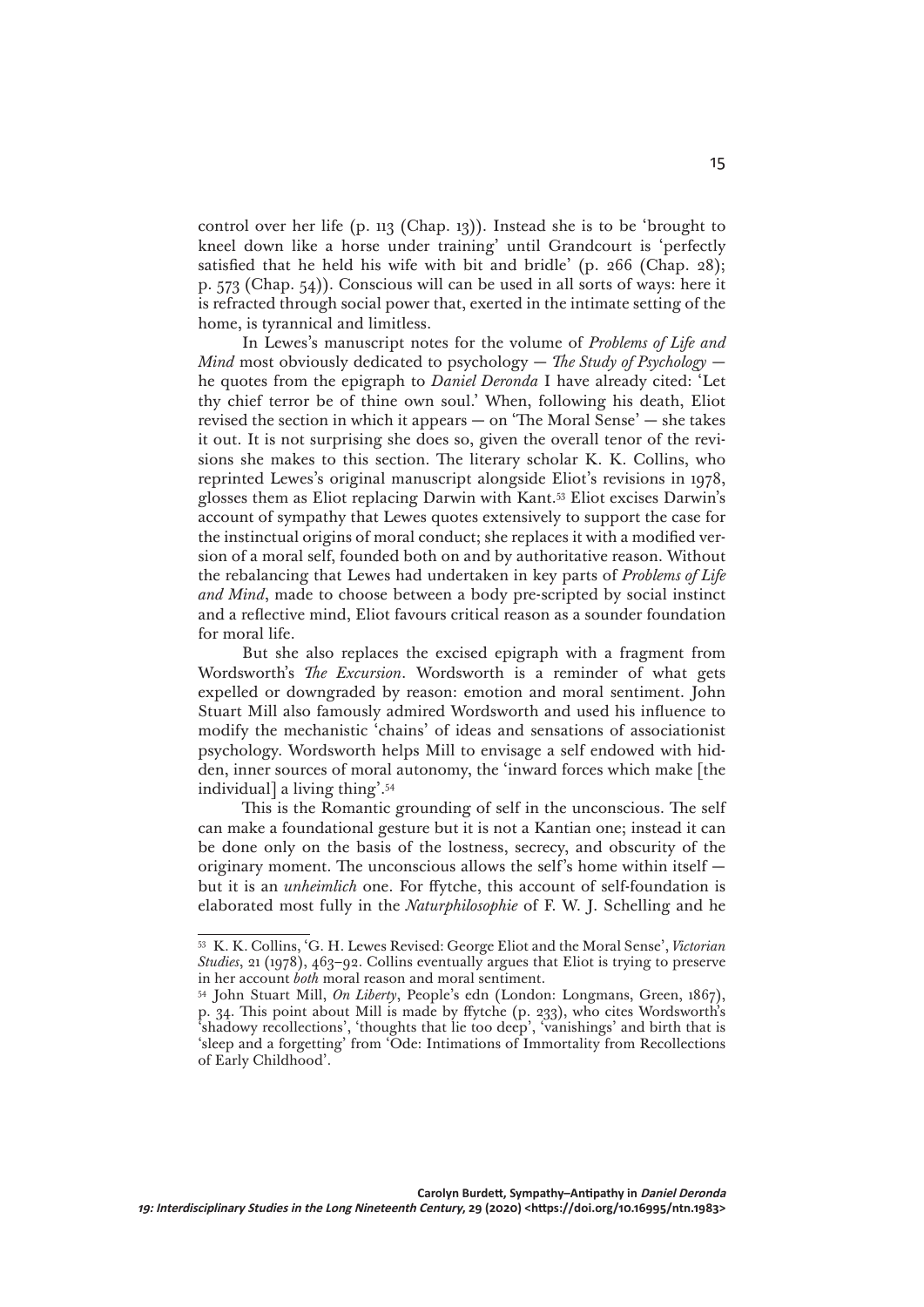control over her life (p. 113 (Chap. 13)). Instead she is to be 'brought to kneel down like a horse under training' until Grandcourt is 'perfectly satisfied that he held his wife with bit and bridle' (p.  $266$  (Chap.  $28$ ); p. 573 (Chap. 54)). Conscious will can be used in all sorts of ways: here it is refracted through social power that, exerted in the intimate setting of the home, is tyrannical and limitless.

In Lewes's manuscript notes for the volume of *Problems of Life and Mind* most obviously dedicated to psychology — *The Study of Psychology* he quotes from the epigraph to *Daniel Deronda* I have already cited: 'Let thy chief terror be of thine own soul.' When, following his death, Eliot revised the section in which it appears — on 'The Moral Sense' — she takes it out. It is not surprising she does so, given the overall tenor of the revisions she makes to this section. The literary scholar K. K. Collins, who reprinted Lewes's original manuscript alongside Eliot's revisions in 1978, glosses them as Eliot replacing Darwin with Kant.53 Eliot excises Darwin's account of sympathy that Lewes quotes extensively to support the case for the instinctual origins of moral conduct; she replaces it with a modified version of a moral self, founded both on and by authoritative reason. Without the rebalancing that Lewes had undertaken in key parts of *Problems of Life and Mind*, made to choose between a body pre-scripted by social instinct and a reflective mind, Eliot favours critical reason as a sounder foundation for moral life.

But she also replaces the excised epigraph with a fragment from Wordsworth's *The Excursion*. Wordsworth is a reminder of what gets expelled or downgraded by reason: emotion and moral sentiment. John Stuart Mill also famously admired Wordsworth and used his influence to modify the mechanistic 'chains' of ideas and sensations of associationist psychology. Wordsworth helps Mill to envisage a self endowed with hidden, inner sources of moral autonomy, the 'inward forces which make [the individual] a living thing'.54

This is the Romantic grounding of self in the unconscious. The self can make a foundational gesture but it is not a Kantian one; instead it can be done only on the basis of the lostness, secrecy, and obscurity of the originary moment. The unconscious allows the self's home within itself but it is an *unheimlich* one. For ffytche, this account of self-foundation is elaborated most fully in the *Naturphilosophie* of F. W. J. Schelling and he

<sup>53</sup> K. K. Collins, 'G. H. Lewes Revised: George Eliot and the Moral Sense', *Victorian Studies*, 21 (1978), 463–92. Collins eventually argues that Eliot is trying to preserve in her account *both* moral reason and moral sentiment.

<sup>54</sup> John Stuart Mill, *On Liberty*, People's edn (London: Longmans, Green, 1867), p. 34. This point about Mill is made by ffytche (p. 233), who cites Wordsworth's 'shadowy recollections', 'thoughts that lie too deep', 'vanishings' and birth that is 'sleep and a forgetting' from 'Ode: Intimations of Immortality from Recollections of Early Childhood'.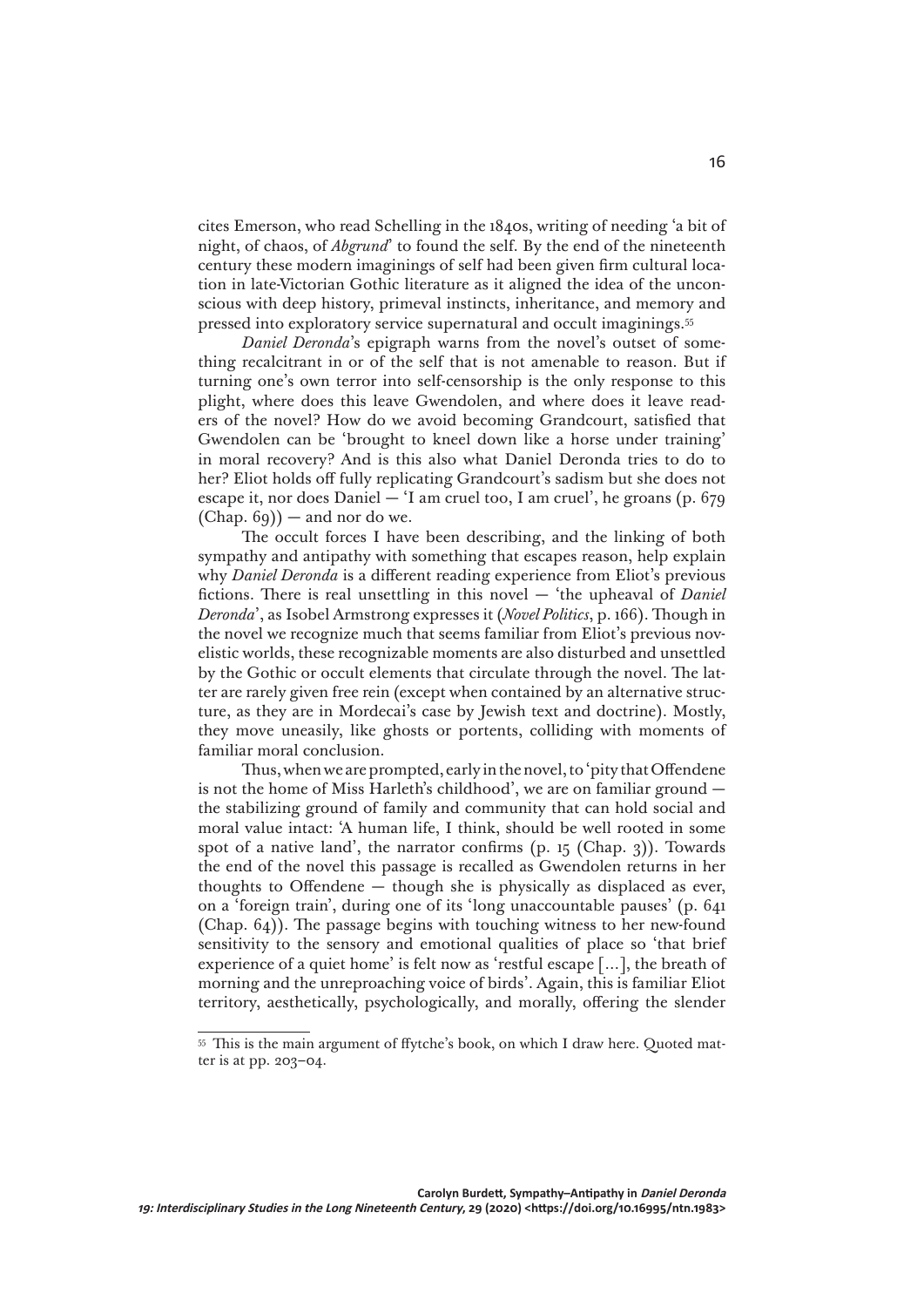cites Emerson, who read Schelling in the 1840s, writing of needing 'a bit of night, of chaos, of *Abgrund*' to found the self. By the end of the nineteenth century these modern imaginings of self had been given firm cultural location in late-Victorian Gothic literature as it aligned the idea of the unconscious with deep history, primeval instincts, inheritance, and memory and pressed into exploratory service supernatural and occult imaginings.55

*Daniel Deronda*'s epigraph warns from the novel's outset of something recalcitrant in or of the self that is not amenable to reason. But if turning one's own terror into self-censorship is the only response to this plight, where does this leave Gwendolen, and where does it leave readers of the novel? How do we avoid becoming Grandcourt, satisfied that Gwendolen can be 'brought to kneel down like a horse under training' in moral recovery? And is this also what Daniel Deronda tries to do to her? Eliot holds off fully replicating Grandcourt's sadism but she does not escape it, nor does Daniel — 'I am cruel too, I am cruel', he groans (p. 679  $(Chap. 69)$  – and nor do we.

The occult forces I have been describing, and the linking of both sympathy and antipathy with something that escapes reason, help explain why *Daniel Deronda* is a different reading experience from Eliot's previous fictions. There is real unsettling in this novel — 'the upheaval of *Daniel Deronda*', as Isobel Armstrong expresses it (*Novel Politics*, p. 166). Though in the novel we recognize much that seems familiar from Eliot's previous novelistic worlds, these recognizable moments are also disturbed and unsettled by the Gothic or occult elements that circulate through the novel. The latter are rarely given free rein (except when contained by an alternative structure, as they are in Mordecai's case by Jewish text and doctrine). Mostly, they move uneasily, like ghosts or portents, colliding with moments of familiar moral conclusion.

Thus, when we are prompted, early in the novel, to 'pity that Offendene is not the home of Miss Harleth's childhood', we are on familiar ground the stabilizing ground of family and community that can hold social and moral value intact: 'A human life, I think, should be well rooted in some spot of a native land', the narrator confirms  $(p. 15 (Chap. 3))$ . Towards the end of the novel this passage is recalled as Gwendolen returns in her thoughts to Offendene — though she is physically as displaced as ever, on a 'foreign train', during one of its 'long unaccountable pauses' (p. 641 (Chap. 64)). The passage begins with touching witness to her new-found sensitivity to the sensory and emotional qualities of place so 'that brief experience of a quiet home' is felt now as 'restful escape […], the breath of morning and the unreproaching voice of birds'. Again, this is familiar Eliot territory, aesthetically, psychologically, and morally, offering the slender

<sup>55</sup> This is the main argument of ffytche's book, on which I draw here. Quoted matter is at pp. 203–04.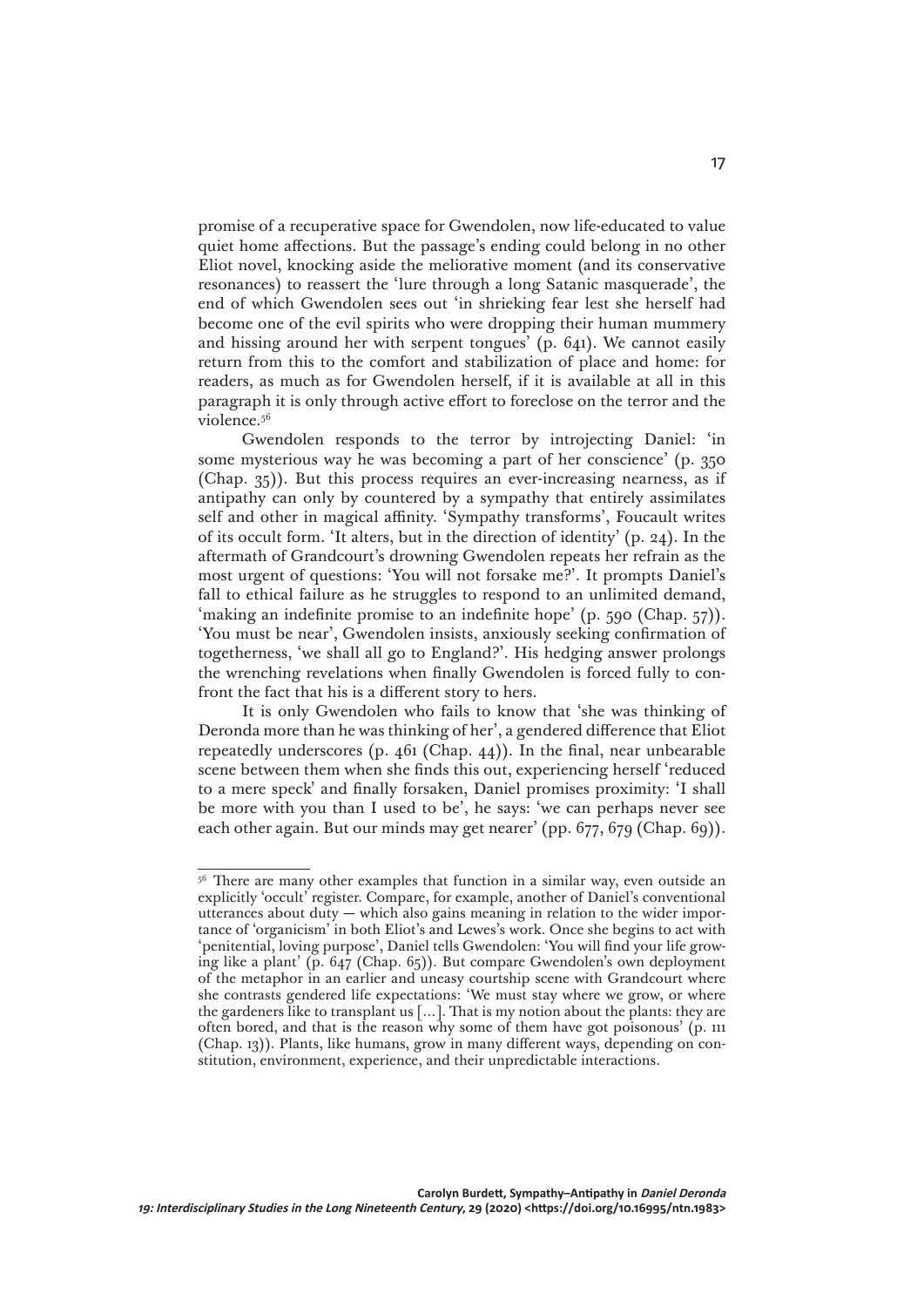promise of a recuperative space for Gwendolen, now life-educated to value quiet home affections. But the passage's ending could belong in no other Eliot novel, knocking aside the meliorative moment (and its conservative resonances) to reassert the 'lure through a long Satanic masquerade', the end of which Gwendolen sees out 'in shrieking fear lest she herself had become one of the evil spirits who were dropping their human mummery and hissing around her with serpent tongues' (p. 641). We cannot easily return from this to the comfort and stabilization of place and home: for readers, as much as for Gwendolen herself, if it is available at all in this paragraph it is only through active effort to foreclose on the terror and the violence.56

Gwendolen responds to the terror by introjecting Daniel: 'in some mysterious way he was becoming a part of her conscience' (p. 350 (Chap. 35)). But this process requires an ever-increasing nearness, as if antipathy can only by countered by a sympathy that entirely assimilates self and other in magical affinity. 'Sympathy transforms', Foucault writes of its occult form. 'It alters, but in the direction of identity' (p. 24). In the aftermath of Grandcourt's drowning Gwendolen repeats her refrain as the most urgent of questions: 'You will not forsake me?'. It prompts Daniel's fall to ethical failure as he struggles to respond to an unlimited demand, 'making an indefinite promise to an indefinite hope' (p. 590 (Chap. 57)). 'You must be near', Gwendolen insists, anxiously seeking confirmation of togetherness, 'we shall all go to England?'. His hedging answer prolongs the wrenching revelations when finally Gwendolen is forced fully to confront the fact that his is a different story to hers.

It is only Gwendolen who fails to know that 'she was thinking of Deronda more than he was thinking of her', a gendered difference that Eliot repeatedly underscores (p. 461 (Chap. 44)). In the final, near unbearable scene between them when she finds this out, experiencing herself 'reduced to a mere speck' and finally forsaken, Daniel promises proximity: 'I shall be more with you than I used to be', he says: 'we can perhaps never see each other again. But our minds may get nearer' (pp. 677, 679 (Chap. 69)).

17

<sup>&</sup>lt;sup>56</sup> There are many other examples that function in a similar way, even outside an explicitly 'occult' register. Compare, for example, another of Daniel's conventional utterances about duty — which also gains meaning in relation to the wider importance of 'organicism' in both Eliot's and Lewes's work. Once she begins to act with 'penitential, loving purpose', Daniel tells Gwendolen: 'You will find your life growing like a plant' (p. 647 (Chap. 65)). But compare Gwendolen's own deployment of the metaphor in an earlier and uneasy courtship scene with Grandcourt where she contrasts gendered life expectations: 'We must stay where we grow, or where the gardeners like to transplant us […]. That is my notion about the plants: they are often bored, and that is the reason why some of them have got poisonous' (p. 111 (Chap. 13)). Plants, like humans, grow in many different ways, depending on constitution, environment, experience, and their unpredictable interactions.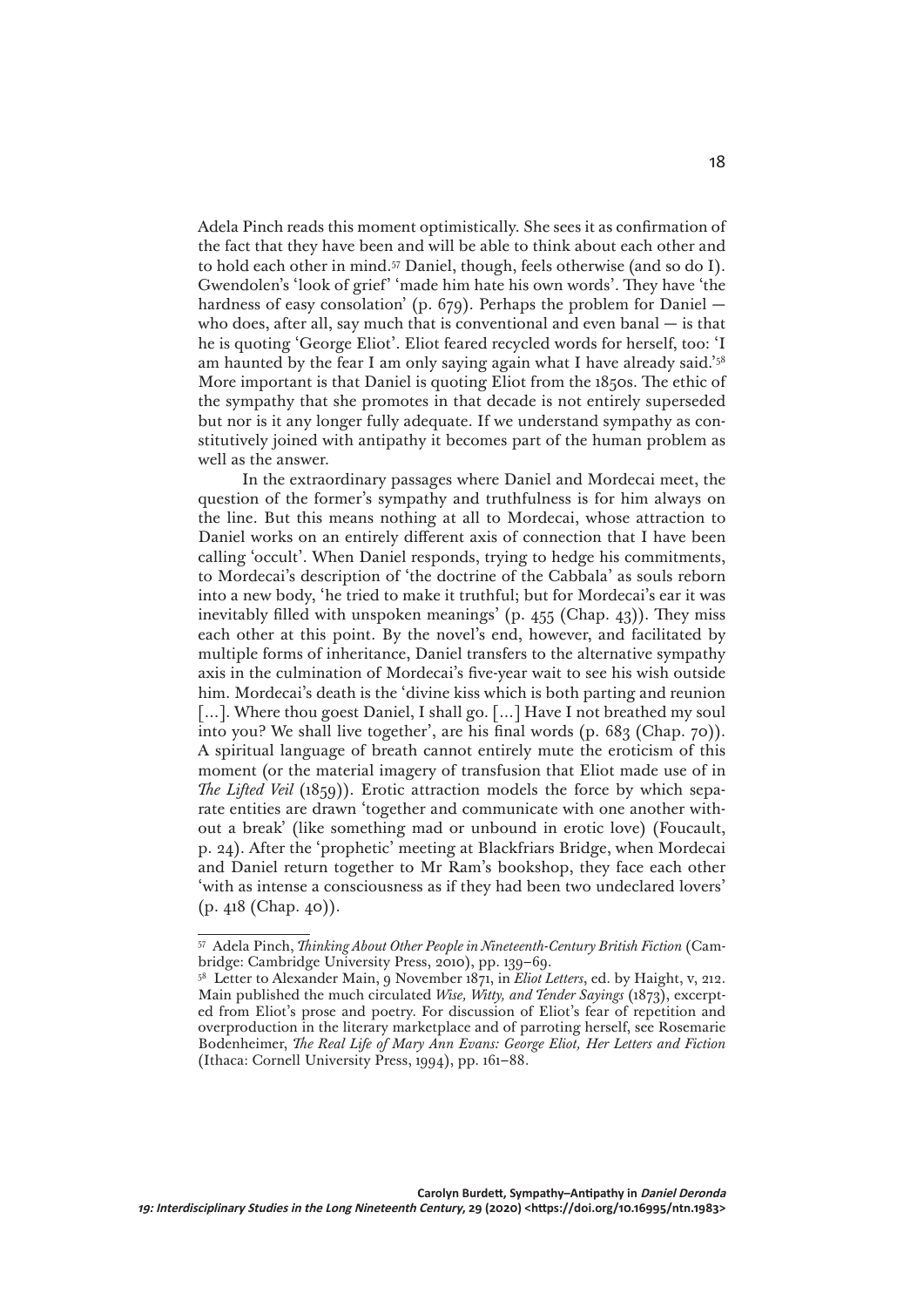Adela Pinch reads this moment optimistically. She sees it as confirmation of the fact that they have been and will be able to think about each other and to hold each other in mind.57 Daniel, though, feels otherwise (and so do I). Gwendolen's 'look of grief' 'made him hate his own words'. They have 'the hardness of easy consolation' (p. 679). Perhaps the problem for Daniel who does, after all, say much that is conventional and even banal — is that he is quoting 'George Eliot'. Eliot feared recycled words for herself, too: 'I am haunted by the fear I am only saying again what I have already said.'58 More important is that Daniel is quoting Eliot from the 1850s. The ethic of the sympathy that she promotes in that decade is not entirely superseded but nor is it any longer fully adequate. If we understand sympathy as constitutively joined with antipathy it becomes part of the human problem as well as the answer.

In the extraordinary passages where Daniel and Mordecai meet, the question of the former's sympathy and truthfulness is for him always on the line. But this means nothing at all to Mordecai, whose attraction to Daniel works on an entirely different axis of connection that I have been calling 'occult'. When Daniel responds, trying to hedge his commitments, to Mordecai's description of 'the doctrine of the Cabbala' as souls reborn into a new body, 'he tried to make it truthful; but for Mordecai's ear it was inevitably filled with unspoken meanings' (p. 455 (Chap. 43)). They miss each other at this point. By the novel's end, however, and facilitated by multiple forms of inheritance, Daniel transfers to the alternative sympathy axis in the culmination of Mordecai's five-year wait to see his wish outside him. Mordecai's death is the 'divine kiss which is both parting and reunion [...]. Where thou goest Daniel, I shall go. [...] Have I not breathed my soul into you? We shall live together', are his final words (p. 683 (Chap. 70)). A spiritual language of breath cannot entirely mute the eroticism of this moment (or the material imagery of transfusion that Eliot made use of in *The Lifted Veil* (1859)). Erotic attraction models the force by which separate entities are drawn 'together and communicate with one another without a break' (like something mad or unbound in erotic love) (Foucault, p. 24). After the 'prophetic' meeting at Blackfriars Bridge, when Mordecai and Daniel return together to Mr Ram's bookshop, they face each other 'with as intense a consciousness as if they had been two undeclared lovers' (p. 418 (Chap. 40)).

<sup>57</sup> Adela Pinch, *Thinking About Other People in Nineteenth-Century British Fiction* (Cambridge: Cambridge University Press, 2010), pp. 139–69.

<sup>58</sup> Letter to Alexander Main, 9 November 1871, in *Eliot Letters*, ed. by Haight, v, 212. Main published the much circulated *Wise, Witty, and Tender Sayings* (1873), excerpted from Eliot's prose and poetry. For discussion of Eliot's fear of repetition and overproduction in the literary marketplace and of parroting herself, see Rosemarie Bodenheimer, *The Real Life of Mary Ann Evans: George Eliot, Her Letters and Fiction* (Ithaca: Cornell University Press, 1994), pp. 161–88.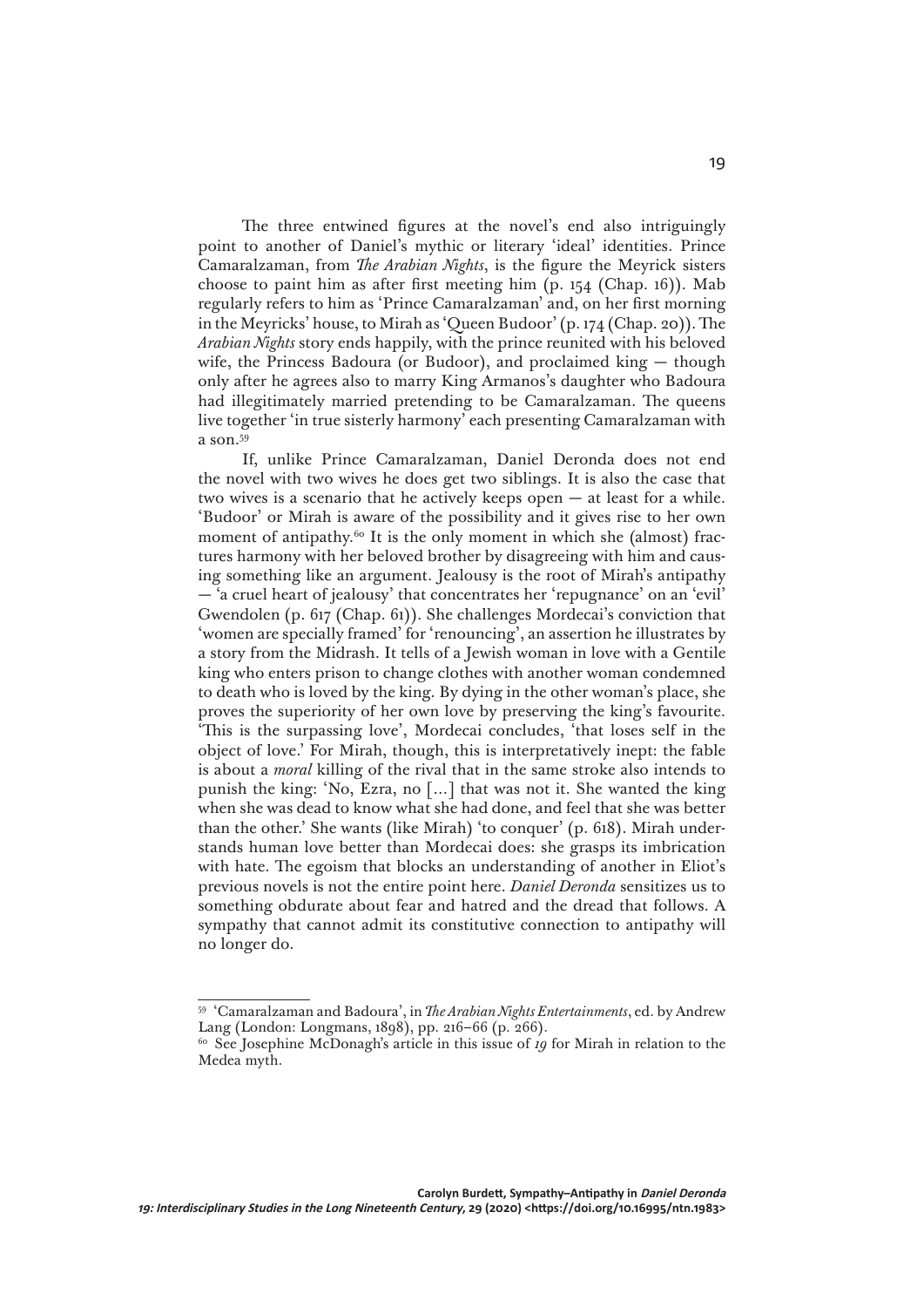The three entwined figures at the novel's end also intriguingly point to another of Daniel's mythic or literary 'ideal' identities. Prince Camaralzaman, from *The Arabian Nights*, is the figure the Meyrick sisters choose to paint him as after first meeting him (p. 154 (Chap. 16)). Mab regularly refers to him as 'Prince Camaralzaman' and, on her first morning in the Meyricks' house, to Mirah as 'Queen Budoor' (p. 174 (Chap. 20)). The *Arabian Nights* story ends happily, with the prince reunited with his beloved wife, the Princess Badoura (or Budoor), and proclaimed king — though only after he agrees also to marry King Armanos's daughter who Badoura had illegitimately married pretending to be Camaralzaman. The queens live together 'in true sisterly harmony' each presenting Camaralzaman with a son.59

If, unlike Prince Camaralzaman, Daniel Deronda does not end the novel with two wives he does get two siblings. It is also the case that two wives is a scenario that he actively keeps open — at least for a while. 'Budoor' or Mirah is aware of the possibility and it gives rise to her own moment of antipathy.<sup>60</sup> It is the only moment in which she (almost) fractures harmony with her beloved brother by disagreeing with him and causing something like an argument. Jealousy is the root of Mirah's antipathy — 'a cruel heart of jealousy' that concentrates her 'repugnance' on an 'evil' Gwendolen (p. 617 (Chap. 61)). She challenges Mordecai's conviction that 'women are specially framed' for 'renouncing', an assertion he illustrates by a story from the Midrash. It tells of a Jewish woman in love with a Gentile king who enters prison to change clothes with another woman condemned to death who is loved by the king. By dying in the other woman's place, she proves the superiority of her own love by preserving the king's favourite. 'This is the surpassing love', Mordecai concludes, 'that loses self in the object of love.' For Mirah, though, this is interpretatively inept: the fable is about a *moral* killing of the rival that in the same stroke also intends to punish the king: 'No, Ezra, no […] that was not it. She wanted the king when she was dead to know what she had done, and feel that she was better than the other.' She wants (like Mirah) 'to conquer' (p. 618). Mirah understands human love better than Mordecai does: she grasps its imbrication with hate. The egoism that blocks an understanding of another in Eliot's previous novels is not the entire point here. *Daniel Deronda* sensitizes us to something obdurate about fear and hatred and the dread that follows. A sympathy that cannot admit its constitutive connection to antipathy will no longer do.

<sup>59</sup> 'Camaralzaman and Badoura', in *The Arabian Nights Entertainments*, ed. by Andrew Lang (London: Longmans, 1898), pp. 216–66 (p. 266).

<sup>&</sup>lt;sup>60</sup> See Josephine McDonagh's article in this issue of 19 for Mirah in relation to the Medea myth.